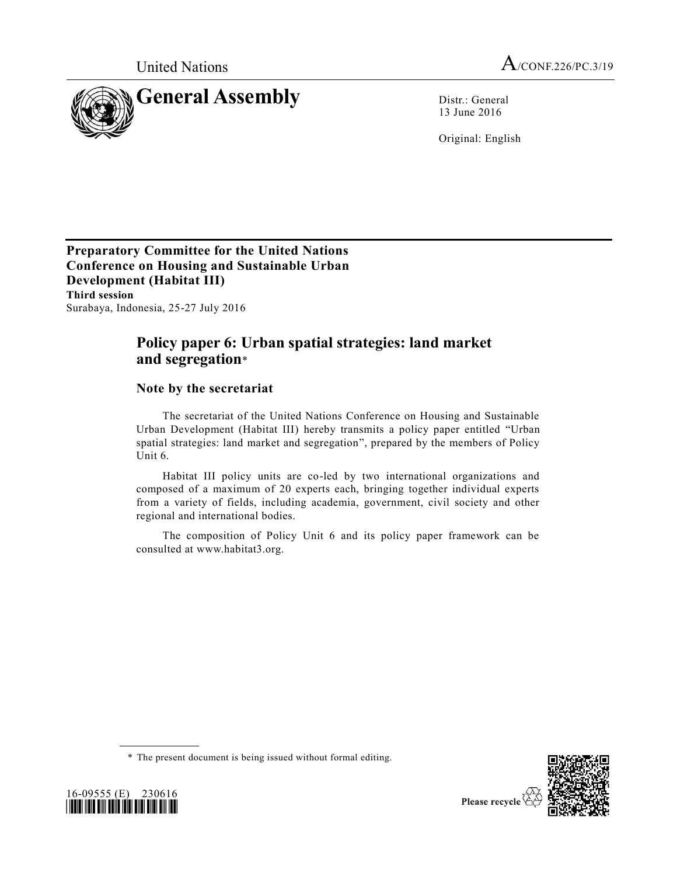

13 June 2016

Original: English

**Preparatory Committee for the United Nations Conference on Housing and Sustainable Urban Development (Habitat III) Third session** Surabaya, Indonesia, 25-27 July 2016

# **Policy paper 6: Urban spatial strategies: land market and segregation**\*

# **Note by the secretariat**

The secretariat of the United Nations Conference on Housing and Sustainable Urban Development (Habitat III) hereby transmits a policy paper entitled "Urban spatial strategies: land market and segregation", prepared by the members of Policy Unit 6.

Habitat III policy units are co-led by two international organizations and composed of a maximum of 20 experts each, bringing together individual experts from a variety of fields, including academia, government, civil society and other regional and international bodies.

The composition of Policy Unit 6 and its policy paper framework can be consulted at www.habitat3.org.





<sup>\*</sup> The present document is being issued without formal editing.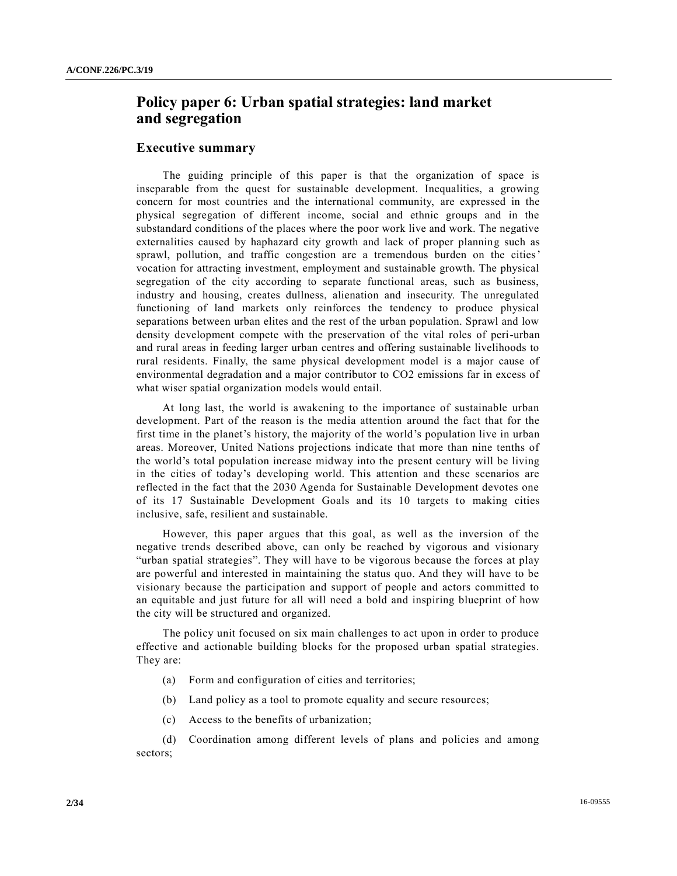# **Policy paper 6: Urban spatial strategies: land market and segregation**

#### **Executive summary**

The guiding principle of this paper is that the organization of space is inseparable from the quest for sustainable development. Inequalities, a growing concern for most countries and the international community, are expressed in the physical segregation of different income, social and ethnic groups and in the substandard conditions of the places where the poor work live and work. The negative externalities caused by haphazard city growth and lack of proper planning such as sprawl, pollution, and traffic congestion are a tremendous burden on the cities' vocation for attracting investment, employment and sustainable growth. The physical segregation of the city according to separate functional areas, such as business, industry and housing, creates dullness, alienation and insecurity. The unregulated functioning of land markets only reinforces the tendency to produce physical separations between urban elites and the rest of the urban population. Sprawl and low density development compete with the preservation of the vital roles of peri-urban and rural areas in feeding larger urban centres and offering sustainable livelihoods to rural residents. Finally, the same physical development model is a major cause of environmental degradation and a major contributor to CO2 emissions far in excess of what wiser spatial organization models would entail.

At long last, the world is awakening to the importance of sustainable urban development. Part of the reason is the media attention around the fact that for the first time in the planet's history, the majority of the world's population live in urban areas. Moreover, United Nations projections indicate that more than nine tenths of the world's total population increase midway into the present century will be living in the cities of today's developing world. This attention and these scenarios are reflected in the fact that the 2030 Agenda for Sustainable Development devotes one of its 17 Sustainable Development Goals and its 10 targets to making cities inclusive, safe, resilient and sustainable.

However, this paper argues that this goal, as well as the inversion of the negative trends described above, can only be reached by vigorous and visionary "urban spatial strategies". They will have to be vigorous because the forces at play are powerful and interested in maintaining the status quo. And they will have to be visionary because the participation and support of people and actors committed to an equitable and just future for all will need a bold and inspiring blueprint of how the city will be structured and organized.

The policy unit focused on six main challenges to act upon in order to produce effective and actionable building blocks for the proposed urban spatial strategies. They are:

- (a) Form and configuration of cities and territories;
- (b) Land policy as a tool to promote equality and secure resources;
- (c) Access to the benefits of urbanization;

(d) Coordination among different levels of plans and policies and among sectors;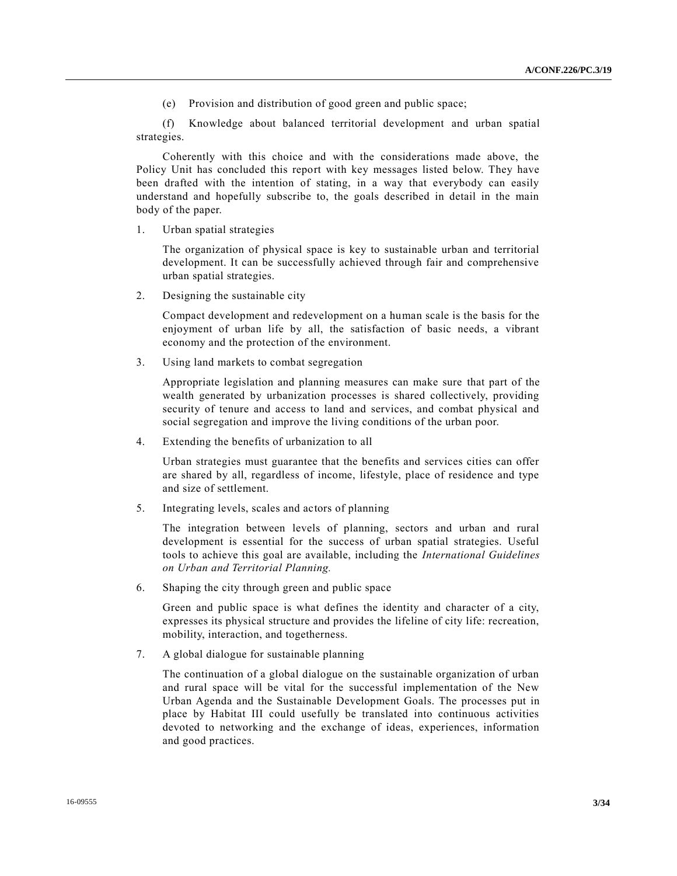(e) Provision and distribution of good green and public space;

(f) Knowledge about balanced territorial development and urban spatial strategies.

Coherently with this choice and with the considerations made above, the Policy Unit has concluded this report with key messages listed below. They have been drafted with the intention of stating, in a way that everybody can easily understand and hopefully subscribe to, the goals described in detail in the main body of the paper.

1. Urban spatial strategies

The organization of physical space is key to sustainable urban and territorial development. It can be successfully achieved through fair and comprehensive urban spatial strategies.

2. Designing the sustainable city

Compact development and redevelopment on a human scale is the basis for the enjoyment of urban life by all, the satisfaction of basic needs, a vibrant economy and the protection of the environment.

3. Using land markets to combat segregation

Appropriate legislation and planning measures can make sure that part of the wealth generated by urbanization processes is shared collectively, providing security of tenure and access to land and services, and combat physical and social segregation and improve the living conditions of the urban poor.

4. Extending the benefits of urbanization to all

Urban strategies must guarantee that the benefits and services cities can offer are shared by all, regardless of income, lifestyle, place of residence and type and size of settlement.

5. Integrating levels, scales and actors of planning

The integration between levels of planning, sectors and urban and rural development is essential for the success of urban spatial strategies. Useful tools to achieve this goal are available, including the *International Guidelines on Urban and Territorial Planning.*

6. Shaping the city through green and public space

Green and public space is what defines the identity and character of a city, expresses its physical structure and provides the lifeline of city life: recreation, mobility, interaction, and togetherness.

7. A global dialogue for sustainable planning

The continuation of a global dialogue on the sustainable organization of urban and rural space will be vital for the successful implementation of the New Urban Agenda and the Sustainable Development Goals. The processes put in place by Habitat III could usefully be translated into continuous activities devoted to networking and the exchange of ideas, experiences, information and good practices.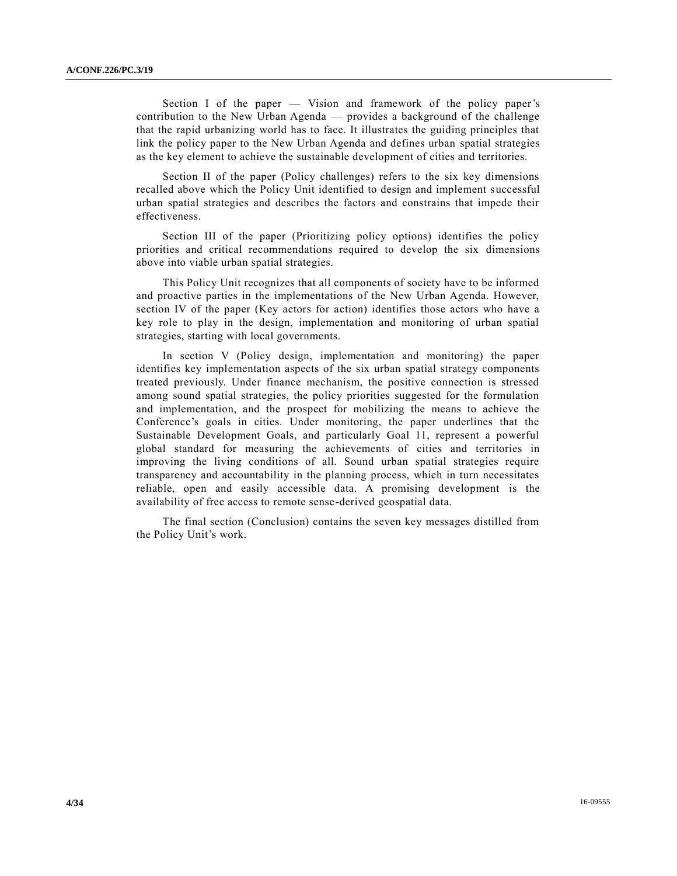Section I of the paper — Vision and framework of the policy paper's contribution to the New Urban Agenda — provides a background of the challenge that the rapid urbanizing world has to face. It illustrates the guiding principles that link the policy paper to the New Urban Agenda and defines urban spatial strategies as the key element to achieve the sustainable development of cities and territories.

Section II of the paper (Policy challenges) refers to the six key dimensions recalled above which the Policy Unit identified to design and implement successful urban spatial strategies and describes the factors and constrains that impede their effectiveness.

Section III of the paper (Prioritizing policy options) identifies the policy priorities and critical recommendations required to develop the six dimensions above into viable urban spatial strategies.

This Policy Unit recognizes that all components of society have to be informed and proactive parties in the implementations of the New Urban Agenda. However, section IV of the paper (Key actors for action) identifies those actors who have a key role to play in the design, implementation and monitoring of urban spatial strategies, starting with local governments.

In section V (Policy design, implementation and monitoring) the paper identifies key implementation aspects of the six urban spatial strategy components treated previously. Under finance mechanism, the positive connection is stressed among sound spatial strategies, the policy priorities suggested for the formulation and implementation, and the prospect for mobilizing the means to achieve the Conference's goals in cities. Under monitoring, the paper underlines that the Sustainable Development Goals, and particularly Goal 11, represent a powerful global standard for measuring the achievements of cities and territories in improving the living conditions of all. Sound urban spatial strategies require transparency and accountability in the planning process, which in turn necessitates reliable, open and easily accessible data. A promising development is the availability of free access to remote sense-derived geospatial data.

The final section (Conclusion) contains the seven key messages distilled from the Policy Unit's work.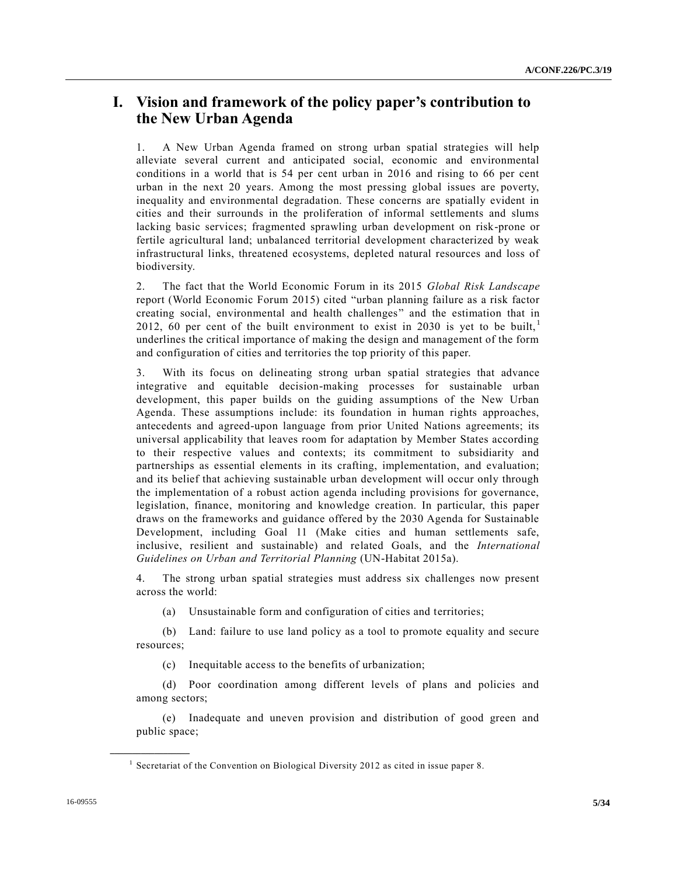# **I. Vision and framework of the policy paper's contribution to the New Urban Agenda**

1. A New Urban Agenda framed on strong urban spatial strategies will help alleviate several current and anticipated social, economic and environmental conditions in a world that is 54 per cent urban in 2016 and rising to 66 per cent urban in the next 20 years. Among the most pressing global issues are poverty, inequality and environmental degradation. These concerns are spatially evident in cities and their surrounds in the proliferation of informal settlements and slums lacking basic services; fragmented sprawling urban development on risk-prone or fertile agricultural land; unbalanced territorial development characterized by weak infrastructural links, threatened ecosystems, depleted natural resources and loss of biodiversity.

2. The fact that the World Economic Forum in its 2015 *Global Risk Landscape* report (World Economic Forum 2015) cited "urban planning failure as a risk factor creating social, environmental and health challenges" and the estimation that in 2012, 60 per cent of the built environment to exist in 2030 is yet to be built,  $\frac{1}{1}$ underlines the critical importance of making the design and management of the form and configuration of cities and territories the top priority of this paper.

3. With its focus on delineating strong urban spatial strategies that advance integrative and equitable decision-making processes for sustainable urban development, this paper builds on the guiding assumptions of the New Urban Agenda. These assumptions include: its foundation in human rights approaches, antecedents and agreed-upon language from prior United Nations agreements; its universal applicability that leaves room for adaptation by Member States according to their respective values and contexts; its commitment to subsidiarity and partnerships as essential elements in its crafting, implementation, and evaluation; and its belief that achieving sustainable urban development will occur only through the implementation of a robust action agenda including provisions for governance, legislation, finance, monitoring and knowledge creation. In particular, this paper draws on the frameworks and guidance offered by the 2030 Agenda for Sustainable Development, including Goal 11 (Make cities and human settlements safe, inclusive, resilient and sustainable) and related Goals, and the *International Guidelines on Urban and Territorial Planning* (UN-Habitat 2015a).

4. The strong urban spatial strategies must address six challenges now present across the world:

(a) Unsustainable form and configuration of cities and territories;

(b) Land: failure to use land policy as a tool to promote equality and secure resources;

(c) Inequitable access to the benefits of urbanization;

(d) Poor coordination among different levels of plans and policies and among sectors;

(e) Inadequate and uneven provision and distribution of good green and public space;

<sup>&</sup>lt;sup>1</sup> Secretariat of the Convention on Biological Diversity 2012 as cited in issue paper 8.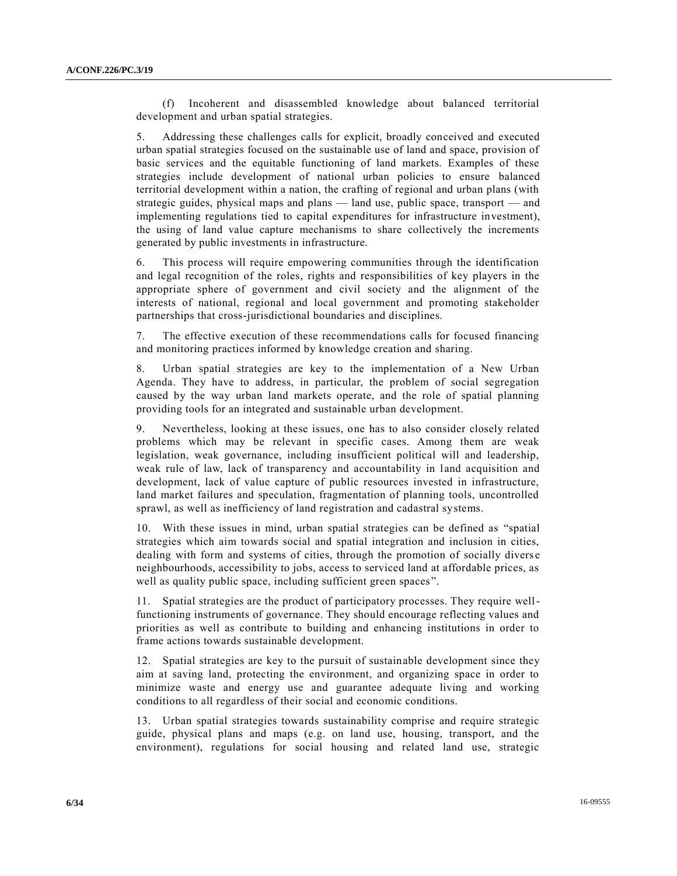(f) Incoherent and disassembled knowledge about balanced territorial development and urban spatial strategies.

5. Addressing these challenges calls for explicit, broadly conceived and executed urban spatial strategies focused on the sustainable use of land and space, provision of basic services and the equitable functioning of land markets. Examples of these strategies include development of national urban policies to ensure balanced territorial development within a nation, the crafting of regional and urban plans (with strategic guides, physical maps and plans — land use, public space, transport — and implementing regulations tied to capital expenditures for infrastructure investment), the using of land value capture mechanisms to share collectively the increments generated by public investments in infrastructure.

6. This process will require empowering communities through the identification and legal recognition of the roles, rights and responsibilities of key players in the appropriate sphere of government and civil society and the alignment of the interests of national, regional and local government and promoting stakeholder partnerships that cross-jurisdictional boundaries and disciplines.

7. The effective execution of these recommendations calls for focused financing and monitoring practices informed by knowledge creation and sharing.

8. Urban spatial strategies are key to the implementation of a New Urban Agenda. They have to address, in particular, the problem of social segregation caused by the way urban land markets operate, and the role of spatial planning providing tools for an integrated and sustainable urban development.

9. Nevertheless, looking at these issues, one has to also consider closely related problems which may be relevant in specific cases. Among them are weak legislation, weak governance, including insufficient political will and leadership, weak rule of law, lack of transparency and accountability in land acquisition and development, lack of value capture of public resources invested in infrastructure, land market failures and speculation, fragmentation of planning tools, uncontrolled sprawl, as well as inefficiency of land registration and cadastral systems.

10. With these issues in mind, urban spatial strategies can be defined as "spatial strategies which aim towards social and spatial integration and inclusion in cities, dealing with form and systems of cities, through the promotion of socially diverse neighbourhoods, accessibility to jobs, access to serviced land at affordable prices, as well as quality public space, including sufficient green spaces".

11. Spatial strategies are the product of participatory processes. They require wellfunctioning instruments of governance. They should encourage reflecting values and priorities as well as contribute to building and enhancing institutions in order to frame actions towards sustainable development.

12. Spatial strategies are key to the pursuit of sustainable development since they aim at saving land, protecting the environment, and organizing space in order to minimize waste and energy use and guarantee adequate living and working conditions to all regardless of their social and economic conditions.

13. Urban spatial strategies towards sustainability comprise and require strategic guide, physical plans and maps (e.g. on land use, housing, transport, and the environment), regulations for social housing and related land use, strategic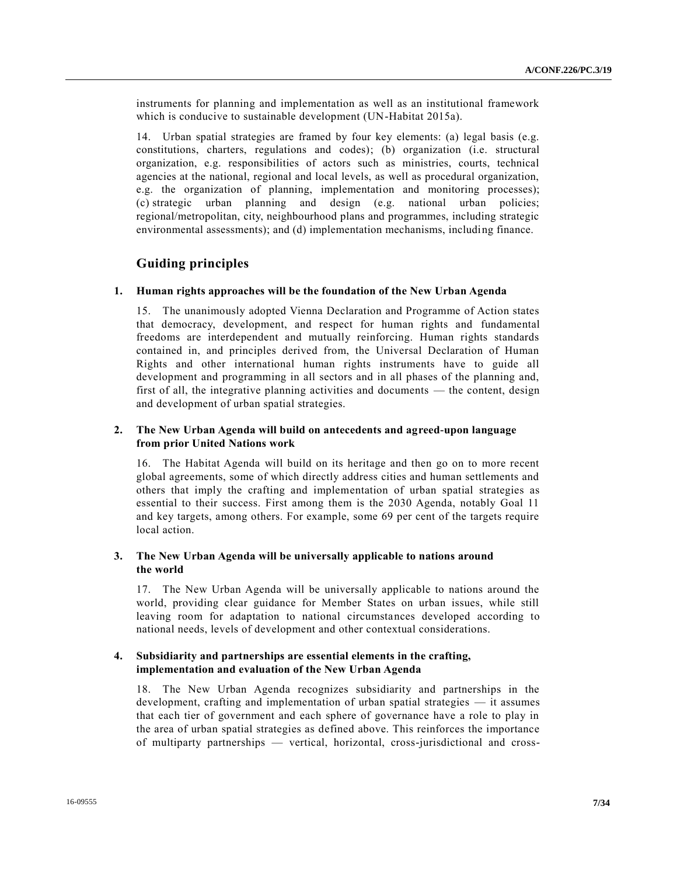instruments for planning and implementation as well as an institutional framework which is conducive to sustainable development (UN-Habitat 2015a).

14. Urban spatial strategies are framed by four key elements: (a) legal basis (e.g. constitutions, charters, regulations and codes); (b) organization (i.e. structural organization, e.g. responsibilities of actors such as ministries, courts, technical agencies at the national, regional and local levels, as well as procedural organization, e.g. the organization of planning, implementation and monitoring processes); (c) strategic urban planning and design (e.g. national urban policies; regional/metropolitan, city, neighbourhood plans and programmes, including strategic environmental assessments); and (d) implementation mechanisms, including finance.

### **Guiding principles**

#### **1. Human rights approaches will be the foundation of the New Urban Agenda**

15. The unanimously adopted Vienna Declaration and Programme of Action states that democracy, development, and respect for human rights and fundamental freedoms are interdependent and mutually reinforcing. Human rights standards contained in, and principles derived from, the Universal Declaration of Human Rights and other international human rights instruments have to guide all development and programming in all sectors and in all phases of the planning and, first of all, the integrative planning activities and documents — the content, design and development of urban spatial strategies.

#### **2. The New Urban Agenda will build on antecedents and agreed-upon language from prior United Nations work**

16. The Habitat Agenda will build on its heritage and then go on to more recent global agreements, some of which directly address cities and human settlements and others that imply the crafting and implementation of urban spatial strategies as essential to their success. First among them is the 2030 Agenda, notably Goal 11 and key targets, among others. For example, some 69 per cent of the targets require local action.

#### **3. The New Urban Agenda will be universally applicable to nations around the world**

17. The New Urban Agenda will be universally applicable to nations around the world, providing clear guidance for Member States on urban issues, while still leaving room for adaptation to national circumstances developed according to national needs, levels of development and other contextual considerations.

#### **4. Subsidiarity and partnerships are essential elements in the crafting, implementation and evaluation of the New Urban Agenda**

18. The New Urban Agenda recognizes subsidiarity and partnerships in the development, crafting and implementation of urban spatial strategies — it assumes that each tier of government and each sphere of governance have a role to play in the area of urban spatial strategies as defined above. This reinforces the importance of multiparty partnerships — vertical, horizontal, cross-jurisdictional and cross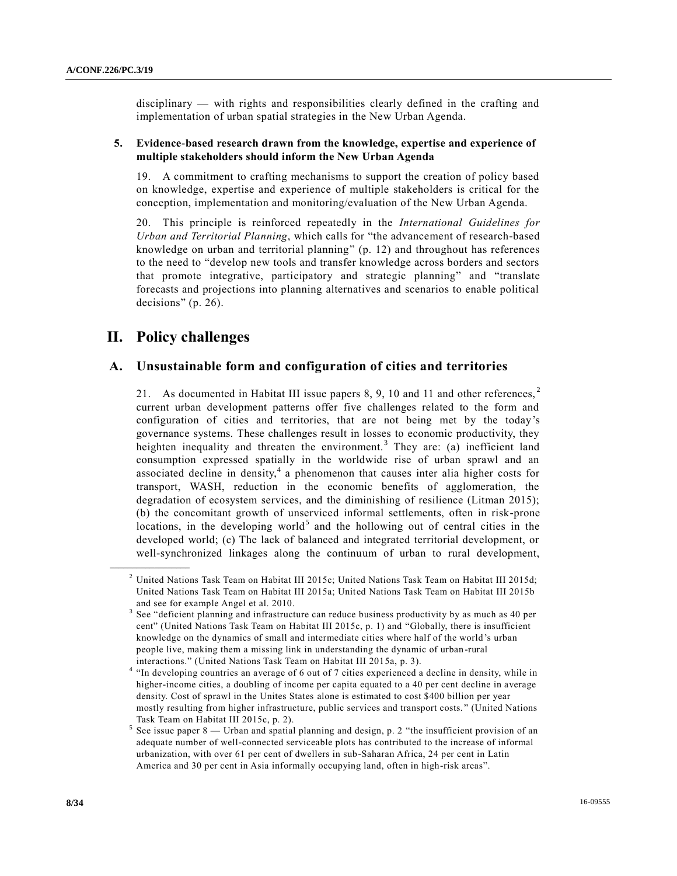disciplinary — with rights and responsibilities clearly defined in the crafting and implementation of urban spatial strategies in the New Urban Agenda.

#### **5. Evidence-based research drawn from the knowledge, expertise and experience of multiple stakeholders should inform the New Urban Agenda**

19. A commitment to crafting mechanisms to support the creation of policy based on knowledge, expertise and experience of multiple stakeholders is critical for the conception, implementation and monitoring/evaluation of the New Urban Agenda.

20. This principle is reinforced repeatedly in the *International Guidelines for Urban and Territorial Planning*, which calls for "the advancement of research-based knowledge on urban and territorial planning" (p. 12) and throughout has references to the need to "develop new tools and transfer knowledge across borders and sectors that promote integrative, participatory and strategic planning" and "translate forecasts and projections into planning alternatives and scenarios to enable political decisions" (p. 26).

# **II. Policy challenges**

**\_\_\_\_\_\_\_\_\_\_\_\_\_\_\_\_\_\_**

# **A. Unsustainable form and configuration of cities and territories**

21. As documented in Habitat III issue papers 8, 9, 10 and 11 and other references,  $2\pi$ current urban development patterns offer five challenges related to the form and configuration of cities and territories, that are not being met by the today's governance systems. These challenges result in losses to economic productivity, they heighten inequality and threaten the environment.<sup>3</sup> They are: (a) inefficient land consumption expressed spatially in the worldwide rise of urban sprawl and an associated decline in density, $4$  a phenomenon that causes inter alia higher costs for transport, WASH, reduction in the economic benefits of agglomeration, the degradation of ecosystem services, and the diminishing of resilience (Litman 2015); (b) the concomitant growth of unserviced informal settlements, often in risk-prone locations, in the developing world<sup>5</sup> and the hollowing out of central cities in the developed world; (c) The lack of balanced and integrated territorial development, or well-synchronized linkages along the continuum of urban to rural development,

<sup>2</sup> United Nations Task Team on Habitat III 2015c; United Nations Task Team on Habitat III 2015d; United Nations Task Team on Habitat III 2015a; United Nations Task Team on Habitat III 2015b and see for example Angel et al. 2010.

<sup>3</sup> See "deficient planning and infrastructure can reduce business productivity by as much as 40 per cent" (United Nations Task Team on Habitat III 2015c, p. 1) and "Globally, there is insufficient knowledge on the dynamics of small and intermediate cities where half of the world's urban people live, making them a missing link in understanding the dynamic of urban -rural interactions." (United Nations Task Team on Habitat III 2015a, p. 3).

<sup>4</sup> "In developing countries an average of 6 out of 7 cities experienced a decline in density, while in higher-income cities, a doubling of income per capita equated to a 40 per cent decline in average density. Cost of sprawl in the Unites States alone is estimated to cost \$400 billion per year mostly resulting from higher infrastructure, public services and transport costs. " (United Nations Task Team on Habitat III 2015c, p. 2).

<sup>5</sup> See issue paper 8 — Urban and spatial planning and design, p. 2 "the insufficient provision of an adequate number of well-connected serviceable plots has contributed to the increase of informal urbanization, with over 61 per cent of dwellers in sub-Saharan Africa, 24 per cent in Latin America and 30 per cent in Asia informally occupying land, often in high-risk areas".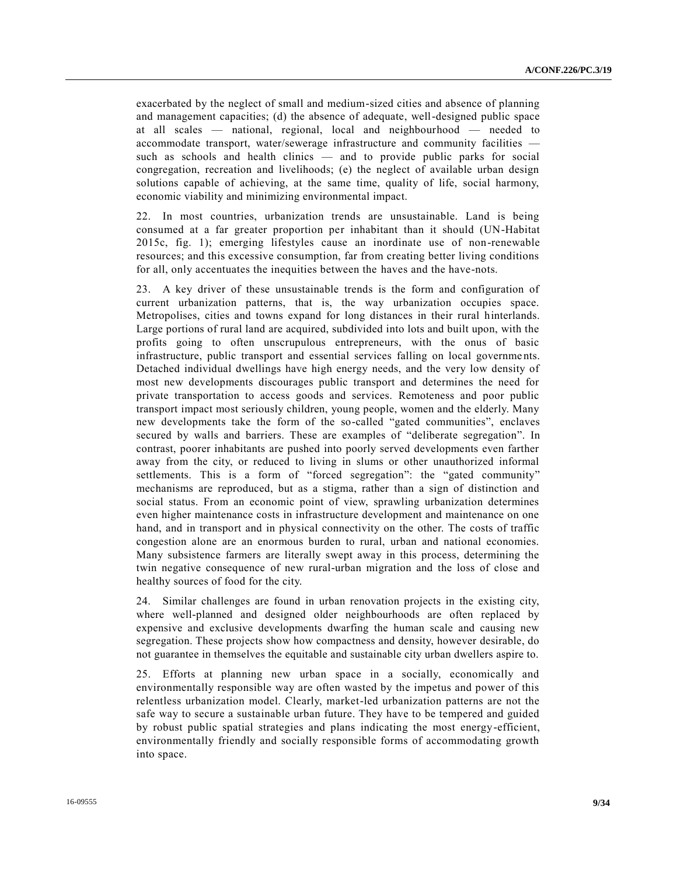exacerbated by the neglect of small and medium-sized cities and absence of planning and management capacities; (d) the absence of adequate, well-designed public space at all scales — national, regional, local and neighbourhood — needed to accommodate transport, water/sewerage infrastructure and community facilities such as schools and health clinics — and to provide public parks for social congregation, recreation and livelihoods; (e) the neglect of available urban design solutions capable of achieving, at the same time, quality of life, social harmony, economic viability and minimizing environmental impact.

22. In most countries, urbanization trends are unsustainable. Land is being consumed at a far greater proportion per inhabitant than it should (UN-Habitat 2015c, fig. 1); emerging lifestyles cause an inordinate use of non-renewable resources; and this excessive consumption, far from creating better living conditions for all, only accentuates the inequities between the haves and the have-nots.

23. A key driver of these unsustainable trends is the form and configuration of current urbanization patterns, that is, the way urbanization occupies space. Metropolises, cities and towns expand for long distances in their rural hinterlands. Large portions of rural land are acquired, subdivided into lots and built upon, with the profits going to often unscrupulous entrepreneurs, with the onus of basic infrastructure, public transport and essential services falling on local governme nts. Detached individual dwellings have high energy needs, and the very low density of most new developments discourages public transport and determines the need for private transportation to access goods and services. Remoteness and poor public transport impact most seriously children, young people, women and the elderly. Many new developments take the form of the so-called "gated communities", enclaves secured by walls and barriers. These are examples of "deliberate segregation". In contrast, poorer inhabitants are pushed into poorly served developments even farther away from the city, or reduced to living in slums or other unauthorized informal settlements. This is a form of "forced segregation": the "gated community" mechanisms are reproduced, but as a stigma, rather than a sign of distinction and social status. From an economic point of view, sprawling urbanization determines even higher maintenance costs in infrastructure development and maintenance on one hand, and in transport and in physical connectivity on the other. The costs of traffic congestion alone are an enormous burden to rural, urban and national economies. Many subsistence farmers are literally swept away in this process, determining the twin negative consequence of new rural-urban migration and the loss of close and healthy sources of food for the city.

24. Similar challenges are found in urban renovation projects in the existing city, where well-planned and designed older neighbourhoods are often replaced by expensive and exclusive developments dwarfing the human scale and causing new segregation. These projects show how compactness and density, however desirable, do not guarantee in themselves the equitable and sustainable city urban dwellers aspire to.

25. Efforts at planning new urban space in a socially, economically and environmentally responsible way are often wasted by the impetus and power of this relentless urbanization model. Clearly, market-led urbanization patterns are not the safe way to secure a sustainable urban future. They have to be tempered and guided by robust public spatial strategies and plans indicating the most energy-efficient, environmentally friendly and socially responsible forms of accommodating growth into space.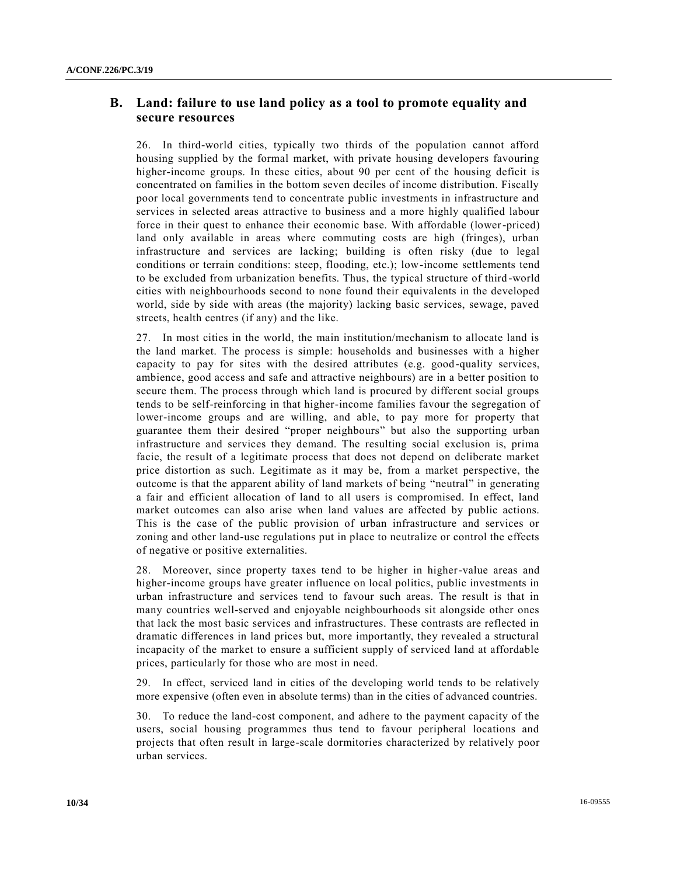# **B. Land: failure to use land policy as a tool to promote equality and secure resources**

26. In third-world cities, typically two thirds of the population cannot afford housing supplied by the formal market, with private housing developers favouring higher-income groups. In these cities, about 90 per cent of the housing deficit is concentrated on families in the bottom seven deciles of income distribution. Fiscally poor local governments tend to concentrate public investments in infrastructure and services in selected areas attractive to business and a more highly qualified labour force in their quest to enhance their economic base. With affordable (lower-priced) land only available in areas where commuting costs are high (fringes), urban infrastructure and services are lacking; building is often risky (due to legal conditions or terrain conditions: steep, flooding, etc.); low-income settlements tend to be excluded from urbanization benefits. Thus, the typical structure of third -world cities with neighbourhoods second to none found their equivalents in the developed world, side by side with areas (the majority) lacking basic services, sewage, paved streets, health centres (if any) and the like.

27. In most cities in the world, the main institution/mechanism to allocate land is the land market. The process is simple: households and businesses with a higher capacity to pay for sites with the desired attributes (e.g. good-quality services, ambience, good access and safe and attractive neighbours) are in a better position to secure them. The process through which land is procured by different social groups tends to be self-reinforcing in that higher-income families favour the segregation of lower-income groups and are willing, and able, to pay more for property that guarantee them their desired "proper neighbours" but also the supporting urban infrastructure and services they demand. The resulting social exclusion is, prima facie, the result of a legitimate process that does not depend on deliberate market price distortion as such. Legitimate as it may be, from a market perspective, the outcome is that the apparent ability of land markets of being "neutral" in generating a fair and efficient allocation of land to all users is compromised. In effect, land market outcomes can also arise when land values are affected by public actions. This is the case of the public provision of urban infrastructure and services or zoning and other land-use regulations put in place to neutralize or control the effects of negative or positive externalities.

28. Moreover, since property taxes tend to be higher in higher-value areas and higher-income groups have greater influence on local politics, public investments in urban infrastructure and services tend to favour such areas. The result is that in many countries well-served and enjoyable neighbourhoods sit alongside other ones that lack the most basic services and infrastructures. These contrasts are reflected in dramatic differences in land prices but, more importantly, they revealed a structural incapacity of the market to ensure a sufficient supply of serviced land at affordable prices, particularly for those who are most in need.

29. In effect, serviced land in cities of the developing world tends to be relatively more expensive (often even in absolute terms) than in the cities of advanced countries.

30. To reduce the land-cost component, and adhere to the payment capacity of the users, social housing programmes thus tend to favour peripheral locations and projects that often result in large-scale dormitories characterized by relatively poor urban services.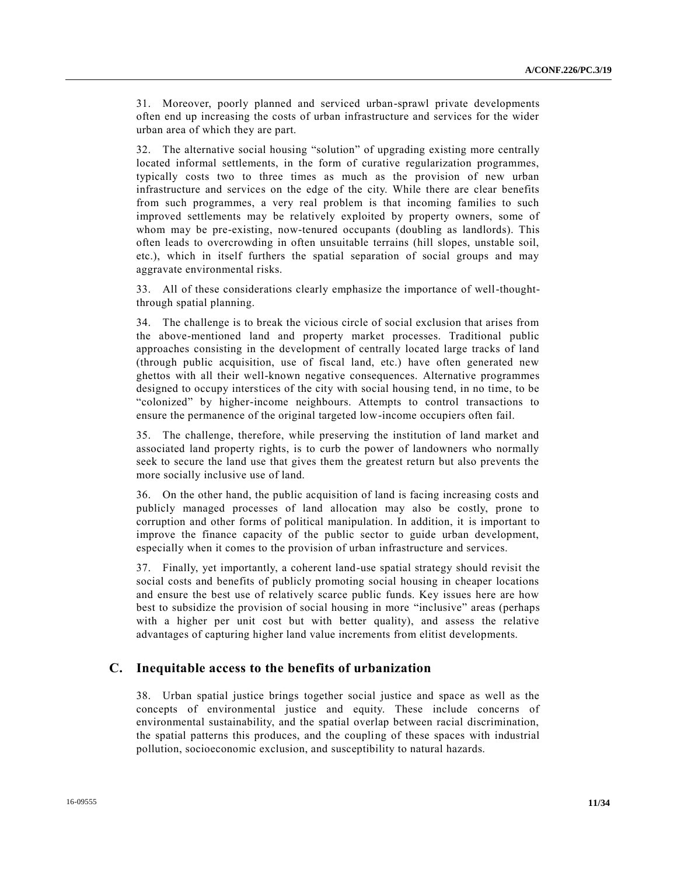31. Moreover, poorly planned and serviced urban-sprawl private developments often end up increasing the costs of urban infrastructure and services for the wider urban area of which they are part.

32. The alternative social housing "solution" of upgrading existing more centrally located informal settlements, in the form of curative regularization programmes, typically costs two to three times as much as the provision of new urban infrastructure and services on the edge of the city. While there are clear benefits from such programmes, a very real problem is that incoming families to such improved settlements may be relatively exploited by property owners, some of whom may be pre-existing, now-tenured occupants (doubling as landlords). This often leads to overcrowding in often unsuitable terrains (hill slopes, unstable soil, etc.), which in itself furthers the spatial separation of social groups and may aggravate environmental risks.

33. All of these considerations clearly emphasize the importance of well-thoughtthrough spatial planning.

34. The challenge is to break the vicious circle of social exclusion that arises from the above-mentioned land and property market processes. Traditional public approaches consisting in the development of centrally located large tracks of land (through public acquisition, use of fiscal land, etc.) have often generated new ghettos with all their well-known negative consequences. Alternative programmes designed to occupy interstices of the city with social housing tend, in no time, to be "colonized" by higher-income neighbours. Attempts to control transactions to ensure the permanence of the original targeted low-income occupiers often fail.

35. The challenge, therefore, while preserving the institution of land market and associated land property rights, is to curb the power of landowners who normally seek to secure the land use that gives them the greatest return but also prevents the more socially inclusive use of land.

36. On the other hand, the public acquisition of land is facing increasing costs and publicly managed processes of land allocation may also be costly, prone to corruption and other forms of political manipulation. In addition, it is important to improve the finance capacity of the public sector to guide urban development, especially when it comes to the provision of urban infrastructure and services.

37. Finally, yet importantly, a coherent land-use spatial strategy should revisit the social costs and benefits of publicly promoting social housing in cheaper locations and ensure the best use of relatively scarce public funds. Key issues here are how best to subsidize the provision of social housing in more "inclusive" areas (perhaps with a higher per unit cost but with better quality), and assess the relative advantages of capturing higher land value increments from elitist developments.

# **C. Inequitable access to the benefits of urbanization**

38. Urban spatial justice brings together social justice and space as well as the concepts of environmental justice and equity. These include concerns of environmental sustainability, and the spatial overlap between racial discrimination, the spatial patterns this produces, and the coupling of these spaces with industrial pollution, socioeconomic exclusion, and susceptibility to natural hazards.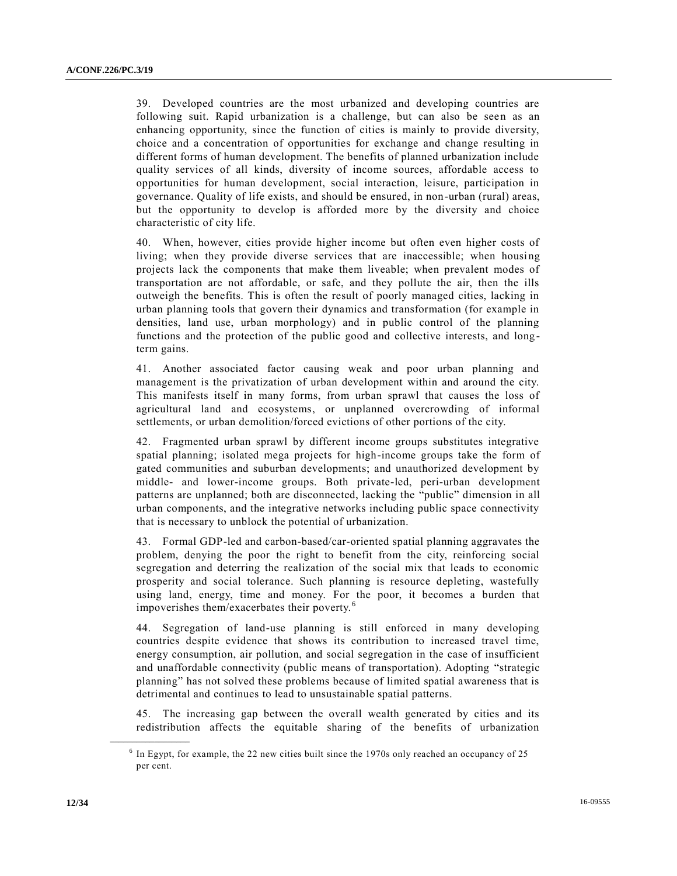39. Developed countries are the most urbanized and developing countries are following suit. Rapid urbanization is a challenge, but can also be seen as an enhancing opportunity, since the function of cities is mainly to provide diversity, choice and a concentration of opportunities for exchange and change resulting in different forms of human development. The benefits of planned urbanization include quality services of all kinds, diversity of income sources, affordable access to opportunities for human development, social interaction, leisure, participation in governance. Quality of life exists, and should be ensured, in non-urban (rural) areas, but the opportunity to develop is afforded more by the diversity and choice characteristic of city life.

40. When, however, cities provide higher income but often even higher costs of living; when they provide diverse services that are inaccessible; when housing projects lack the components that make them liveable; when prevalent modes of transportation are not affordable, or safe, and they pollute the air, then the ills outweigh the benefits. This is often the result of poorly managed cities, lacking in urban planning tools that govern their dynamics and transformation (for example in densities, land use, urban morphology) and in public control of the planning functions and the protection of the public good and collective interests, and long term gains.

41. Another associated factor causing weak and poor urban planning and management is the privatization of urban development within and around the city. This manifests itself in many forms, from urban sprawl that causes the loss of agricultural land and ecosystems, or unplanned overcrowding of informal settlements, or urban demolition/forced evictions of other portions of the city.

42. Fragmented urban sprawl by different income groups substitutes integrative spatial planning; isolated mega projects for high-income groups take the form of gated communities and suburban developments; and unauthorized development by middle- and lower-income groups. Both private-led, peri-urban development patterns are unplanned; both are disconnected, lacking the "public" dimension in all urban components, and the integrative networks including public space connectivity that is necessary to unblock the potential of urbanization.

43. Formal GDP-led and carbon-based/car-oriented spatial planning aggravates the problem, denying the poor the right to benefit from the city, reinforcing social segregation and deterring the realization of the social mix that leads to economic prosperity and social tolerance. Such planning is resource depleting, wastefully using land, energy, time and money. For the poor, it becomes a burden that impoverishes them/exacerbates their poverty. <sup>6</sup>

44. Segregation of land-use planning is still enforced in many developing countries despite evidence that shows its contribution to increased travel time, energy consumption, air pollution, and social segregation in the case of insufficient and unaffordable connectivity (public means of transportation). Adopting "strategic planning" has not solved these problems because of limited spatial awareness that is detrimental and continues to lead to unsustainable spatial patterns.

45. The increasing gap between the overall wealth generated by cities and its redistribution affects the equitable sharing of the benefits of urbanization

<sup>&</sup>lt;sup>6</sup> In Egypt, for example, the 22 new cities built since the 1970s only reached an occupancy of 25 per cent.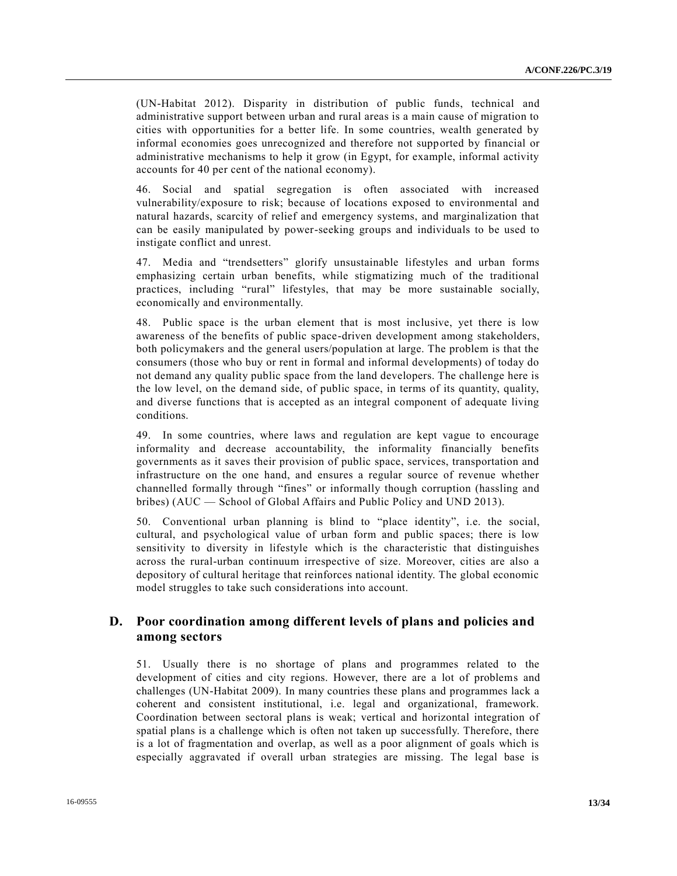(UN-Habitat 2012). Disparity in distribution of public funds, technical and administrative support between urban and rural areas is a main cause of migration to cities with opportunities for a better life. In some countries, wealth generated by informal economies goes unrecognized and therefore not supported by financial or administrative mechanisms to help it grow (in Egypt, for example, informal activity accounts for 40 per cent of the national economy).

46. Social and spatial segregation is often associated with increased vulnerability/exposure to risk; because of locations exposed to environmental and natural hazards, scarcity of relief and emergency systems, and marginalization that can be easily manipulated by power-seeking groups and individuals to be used to instigate conflict and unrest.

47. Media and "trendsetters" glorify unsustainable lifestyles and urban forms emphasizing certain urban benefits, while stigmatizing much of the traditional practices, including "rural" lifestyles, that may be more sustainable socially, economically and environmentally.

48. Public space is the urban element that is most inclusive, yet there is low awareness of the benefits of public space-driven development among stakeholders, both policymakers and the general users/population at large. The problem is that the consumers (those who buy or rent in formal and informal developments) of today do not demand any quality public space from the land developers. The challenge here is the low level, on the demand side, of public space, in terms of its quantity, quality, and diverse functions that is accepted as an integral component of adequate living conditions.

49. In some countries, where laws and regulation are kept vague to encourage informality and decrease accountability, the informality financially benefits governments as it saves their provision of public space, services, transportation and infrastructure on the one hand, and ensures a regular source of revenue whether channelled formally through "fines" or informally though corruption (hassling and bribes) (AUC — School of Global Affairs and Public Policy and UND 2013).

50. Conventional urban planning is blind to "place identity", i.e. the social, cultural, and psychological value of urban form and public spaces; there is low sensitivity to diversity in lifestyle which is the characteristic that distinguishes across the rural-urban continuum irrespective of size. Moreover, cities are also a depository of cultural heritage that reinforces national identity. The global economic model struggles to take such considerations into account.

# **D. Poor coordination among different levels of plans and policies and among sectors**

51. Usually there is no shortage of plans and programmes related to the development of cities and city regions. However, there are a lot of problems and challenges (UN-Habitat 2009). In many countries these plans and programmes lack a coherent and consistent institutional, i.e. legal and organizational, framework. Coordination between sectoral plans is weak; vertical and horizontal integration of spatial plans is a challenge which is often not taken up successfully. Therefore, there is a lot of fragmentation and overlap, as well as a poor alignment of goals which is especially aggravated if overall urban strategies are missing. The legal base is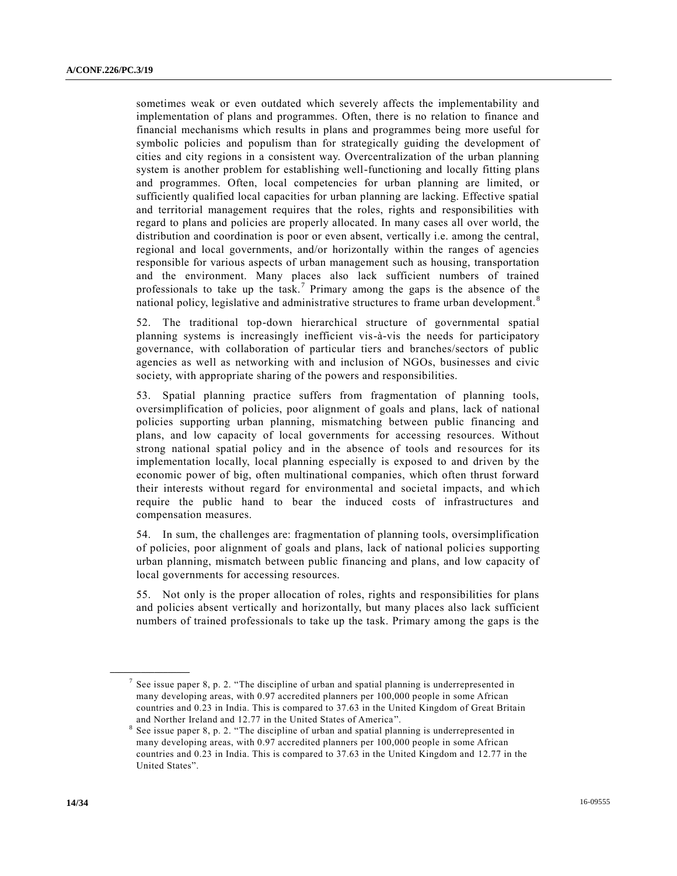sometimes weak or even outdated which severely affects the implementability and implementation of plans and programmes. Often, there is no relation to finance and financial mechanisms which results in plans and programmes being more useful for symbolic policies and populism than for strategically guiding the development of cities and city regions in a consistent way. Overcentralization of the urban planning system is another problem for establishing well-functioning and locally fitting plans and programmes. Often, local competencies for urban planning are limited, or sufficiently qualified local capacities for urban planning are lacking. Effective spatial and territorial management requires that the roles, rights and responsibilities with regard to plans and policies are properly allocated. In many cases all over world, the distribution and coordination is poor or even absent, vertically i.e. among the central, regional and local governments, and/or horizontally within the ranges of agencies responsible for various aspects of urban management such as housing, transportation and the environment. Many places also lack sufficient numbers of trained professionals to take up the task.<sup>7</sup> Primary among the gaps is the absence of the national policy, legislative and administrative structures to frame urban development.<sup>8</sup>

52. The traditional top-down hierarchical structure of governmental spatial planning systems is increasingly inefficient vis-à-vis the needs for participatory governance, with collaboration of particular tiers and branches/sectors of public agencies as well as networking with and inclusion of NGOs, businesses and civic society, with appropriate sharing of the powers and responsibilities.

53. Spatial planning practice suffers from fragmentation of planning tools, oversimplification of policies, poor alignment of goals and plans, lack of national policies supporting urban planning, mismatching between public financing and plans, and low capacity of local governments for accessing resources. Without strong national spatial policy and in the absence of tools and resources for its implementation locally, local planning especially is exposed to and driven by the economic power of big, often multinational companies, which often thrust forward their interests without regard for environmental and societal impacts, and which require the public hand to bear the induced costs of infrastructures and compensation measures.

54. In sum, the challenges are: fragmentation of planning tools, oversimplification of policies, poor alignment of goals and plans, lack of national policies supporting urban planning, mismatch between public financing and plans, and low capacity of local governments for accessing resources.

55. Not only is the proper allocation of roles, rights and responsibilities for plans and policies absent vertically and horizontally, but many places also lack sufficient numbers of trained professionals to take up the task. Primary among the gaps is the

<sup>&</sup>lt;sup>7</sup> See issue paper 8, p. 2. "The discipline of urban and spatial planning is underrepresented in many developing areas, with 0.97 accredited planners per 100,000 people in some African countries and 0.23 in India. This is compared to 37.63 in the United Kingdom of Great Britain and Norther Ireland and 12.77 in the United States of America ".

<sup>8</sup> See issue paper 8, p. 2. "The discipline of urban and spatial planning is underrepresented in many developing areas, with 0.97 accredited planners per 100,000 people in some African countries and 0.23 in India. This is compared to 37.63 in the United Kingdom and 12.77 in the United States".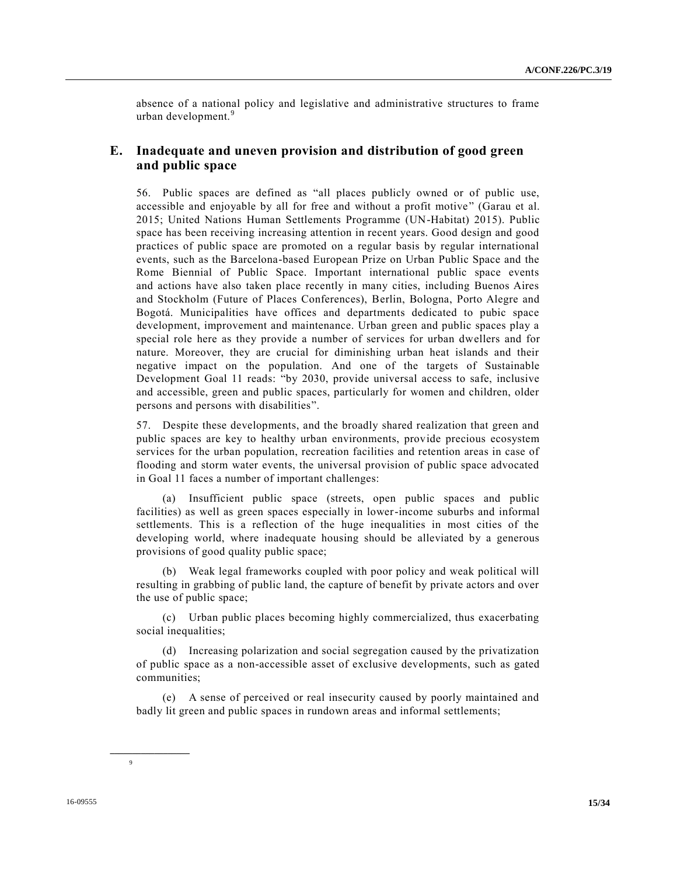absence of a national policy and legislative and administrative structures to frame urban development.<sup>9</sup>

# **E. Inadequate and uneven provision and distribution of good green and public space**

56. Public spaces are defined as "all places publicly owned or of public use, accessible and enjoyable by all for free and without a profit motive" (Garau et al. 2015; United Nations Human Settlements Programme (UN-Habitat) 2015). Public space has been receiving increasing attention in recent years. Good design and good practices of public space are promoted on a regular basis by regular international events, such as the Barcelona-based European Prize on Urban Public Space and the Rome Biennial of Public Space. Important international public space events and actions have also taken place recently in many cities, including Buenos Aires and Stockholm (Future of Places Conferences), Berlin, Bologna, Porto Alegre and Bogotá. Municipalities have offices and departments dedicated to pubic space development, improvement and maintenance. Urban green and public spaces play a special role here as they provide a number of services for urban dwellers and for nature. Moreover, they are crucial for diminishing urban heat islands and their negative impact on the population. And one of the targets of Sustainable Development Goal 11 reads: "by 2030, provide universal access to safe, inclusive and accessible, green and public spaces, particularly for women and children, older persons and persons with disabilities".

57. Despite these developments, and the broadly shared realization that green and public spaces are key to healthy urban environments, provide precious ecosystem services for the urban population, recreation facilities and retention areas in case of flooding and storm water events, the universal provision of public space advocated in Goal 11 faces a number of important challenges:

(a) Insufficient public space (streets, open public spaces and public facilities) as well as green spaces especially in lower-income suburbs and informal settlements. This is a reflection of the huge inequalities in most cities of the developing world, where inadequate housing should be alleviated by a generous provisions of good quality public space;

(b) Weak legal frameworks coupled with poor policy and weak political will resulting in grabbing of public land, the capture of benefit by private actors and over the use of public space;

(c) Urban public places becoming highly commercialized, thus exacerbating social inequalities;

(d) Increasing polarization and social segregation caused by the privatization of public space as a non-accessible asset of exclusive developments, such as gated communities;

(e) A sense of perceived or real insecurity caused by poorly maintained and badly lit green and public spaces in rundown areas and informal settlements;

**\_\_\_\_\_\_\_\_\_\_\_\_\_\_\_\_\_\_**

9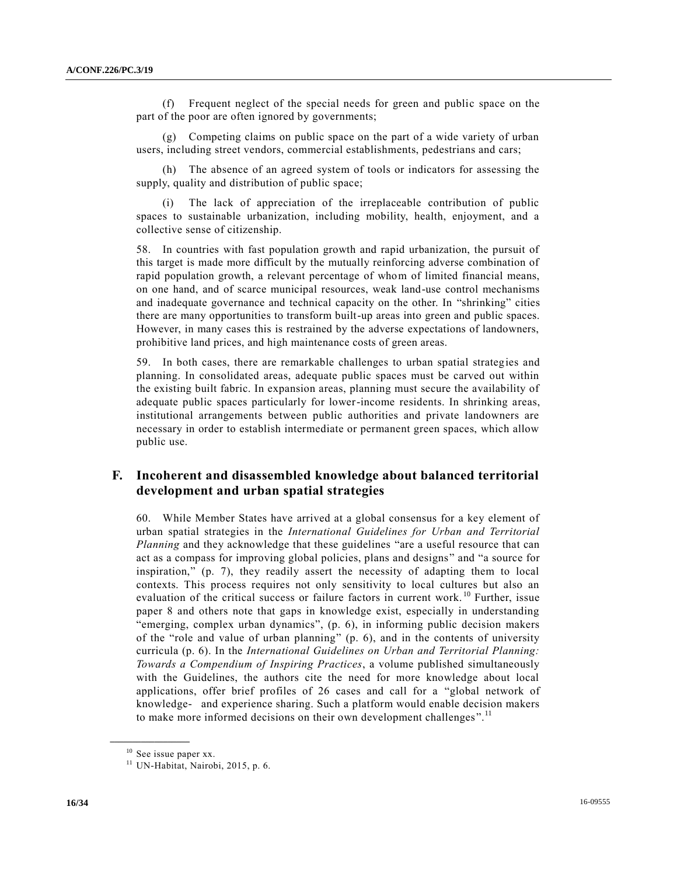(f) Frequent neglect of the special needs for green and public space on the part of the poor are often ignored by governments;

Competing claims on public space on the part of a wide variety of urban users, including street vendors, commercial establishments, pedestrians and cars;

(h) The absence of an agreed system of tools or indicators for assessing the supply, quality and distribution of public space;

(i) The lack of appreciation of the irreplaceable contribution of public spaces to sustainable urbanization, including mobility, health, enjoyment, and a collective sense of citizenship.

58. In countries with fast population growth and rapid urbanization, the pursuit of this target is made more difficult by the mutually reinforcing adverse combination of rapid population growth, a relevant percentage of whom of limited financial means, on one hand, and of scarce municipal resources, weak land-use control mechanisms and inadequate governance and technical capacity on the other. In "shrinking" cities there are many opportunities to transform built-up areas into green and public spaces. However, in many cases this is restrained by the adverse expectations of landowners, prohibitive land prices, and high maintenance costs of green areas.

59. In both cases, there are remarkable challenges to urban spatial strategies and planning. In consolidated areas, adequate public spaces must be carved out within the existing built fabric. In expansion areas, planning must secure the availability of adequate public spaces particularly for lower-income residents. In shrinking areas, institutional arrangements between public authorities and private landowners are necessary in order to establish intermediate or permanent green spaces, which allow public use.

# **F. Incoherent and disassembled knowledge about balanced territorial development and urban spatial strategies**

60. While Member States have arrived at a global consensus for a key element of urban spatial strategies in the *International Guidelines for Urban and Territorial Planning* and they acknowledge that these guidelines "are a useful resource that can act as a compass for improving global policies, plans and designs" and "a source for inspiration," (p. 7), they readily assert the necessity of adapting them to local contexts. This process requires not only sensitivity to local cultures but also an evaluation of the critical success or failure factors in current work.<sup>10</sup> Further, issue paper 8 and others note that gaps in knowledge exist, especially in understanding "emerging, complex urban dynamics", (p. 6), in informing public decision makers of the "role and value of urban planning" (p. 6), and in the contents of university curricula (p. 6). In the *International Guidelines on Urban and Territorial Planning: Towards a Compendium of Inspiring Practices*, a volume published simultaneously with the Guidelines, the authors cite the need for more knowledge about local applications, offer brief profiles of 26 cases and call for a "global network of knowledge- and experience sharing. Such a platform would enable decision makers to make more informed decisions on their own development challenges".<sup>11</sup>

<sup>&</sup>lt;sup>10</sup> See issue paper xx.

 $11$  UN-Habitat, Nairobi, 2015, p. 6.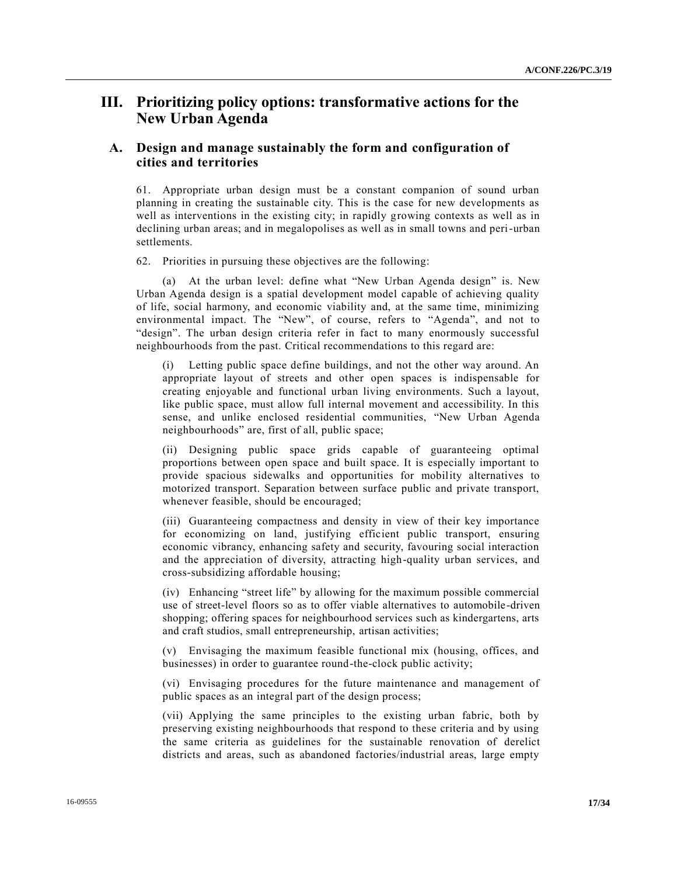# **III. Prioritizing policy options: transformative actions for the New Urban Agenda**

# **A. Design and manage sustainably the form and configuration of cities and territories**

61. Appropriate urban design must be a constant companion of sound urban planning in creating the sustainable city. This is the case for new developments as well as interventions in the existing city; in rapidly growing contexts as well as in declining urban areas; and in megalopolises as well as in small towns and peri-urban settlements.

62. Priorities in pursuing these objectives are the following:

(a) At the urban level: define what "New Urban Agenda design" is. New Urban Agenda design is a spatial development model capable of achieving quality of life, social harmony, and economic viability and, at the same time, minimizing environmental impact. The "New", of course, refers to "Agenda", and not to "design". The urban design criteria refer in fact to many enormously successful neighbourhoods from the past. Critical recommendations to this regard are:

Letting public space define buildings, and not the other way around. An appropriate layout of streets and other open spaces is indispensable for creating enjoyable and functional urban living environments. Such a layout, like public space, must allow full internal movement and accessibility. In this sense, and unlike enclosed residential communities, "New Urban Agenda neighbourhoods" are, first of all, public space;

(ii) Designing public space grids capable of guaranteeing optimal proportions between open space and built space. It is especially important to provide spacious sidewalks and opportunities for mobility alternatives to motorized transport. Separation between surface public and private transport, whenever feasible, should be encouraged;

(iii) Guaranteeing compactness and density in view of their key importance for economizing on land, justifying efficient public transport, ensuring economic vibrancy, enhancing safety and security, favouring social interaction and the appreciation of diversity, attracting high-quality urban services, and cross-subsidizing affordable housing;

(iv) Enhancing "street life" by allowing for the maximum possible commercial use of street-level floors so as to offer viable alternatives to automobile-driven shopping; offering spaces for neighbourhood services such as kindergartens, arts and craft studios, small entrepreneurship, artisan activities;

(v) Envisaging the maximum feasible functional mix (housing, offices, and businesses) in order to guarantee round-the-clock public activity;

(vi) Envisaging procedures for the future maintenance and management of public spaces as an integral part of the design process;

(vii) Applying the same principles to the existing urban fabric, both by preserving existing neighbourhoods that respond to these criteria and by using the same criteria as guidelines for the sustainable renovation of derelict districts and areas, such as abandoned factories/industrial areas, large empty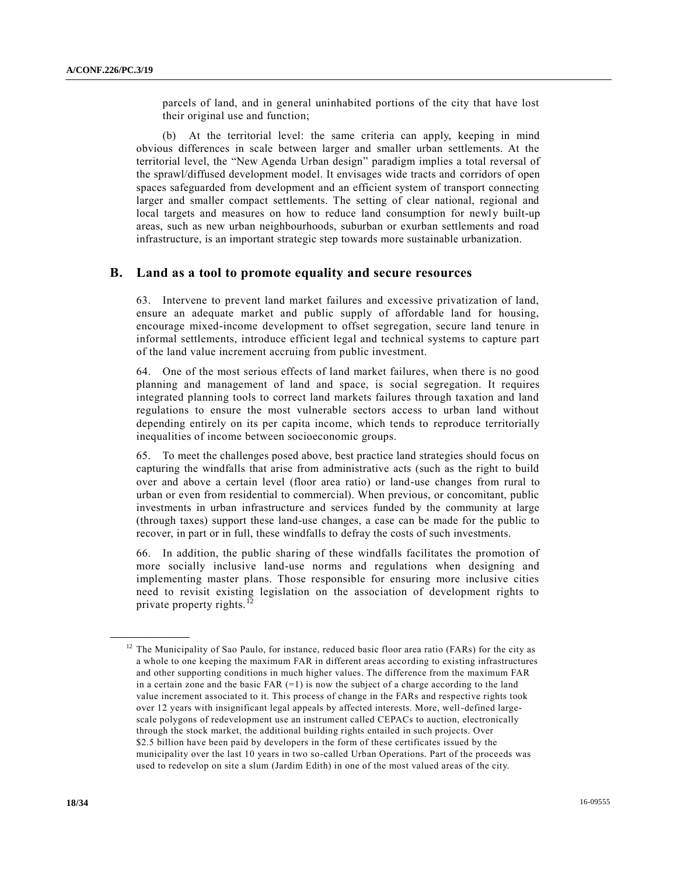parcels of land, and in general uninhabited portions of the city that have lost their original use and function;

(b) At the territorial level: the same criteria can apply, keeping in mind obvious differences in scale between larger and smaller urban settlements. At the territorial level, the "New Agenda Urban design" paradigm implies a total reversal of the sprawl/diffused development model. It envisages wide tracts and corridors of open spaces safeguarded from development and an efficient system of transport connecting larger and smaller compact settlements. The setting of clear national, regional and local targets and measures on how to reduce land consumption for newly built-up areas, such as new urban neighbourhoods, suburban or exurban settlements and road infrastructure, is an important strategic step towards more sustainable urbanization.

### **B. Land as a tool to promote equality and secure resources**

63. Intervene to prevent land market failures and excessive privatization of land, ensure an adequate market and public supply of affordable land for housing, encourage mixed-income development to offset segregation, secure land tenure in informal settlements, introduce efficient legal and technical systems to capture part of the land value increment accruing from public investment.

64. One of the most serious effects of land market failures, when there is no good planning and management of land and space, is social segregation. It requires integrated planning tools to correct land markets failures through taxation and land regulations to ensure the most vulnerable sectors access to urban land without depending entirely on its per capita income, which tends to reproduce territorially inequalities of income between socioeconomic groups.

65. To meet the challenges posed above, best practice land strategies should focus on capturing the windfalls that arise from administrative acts (such as the right to build over and above a certain level (floor area ratio) or land-use changes from rural to urban or even from residential to commercial). When previous, or concomitant, public investments in urban infrastructure and services funded by the community at large (through taxes) support these land-use changes, a case can be made for the public to recover, in part or in full, these windfalls to defray the costs of such investments.

66. In addition, the public sharing of these windfalls facilitates the promotion of more socially inclusive land-use norms and regulations when designing and implementing master plans. Those responsible for ensuring more inclusive cities need to revisit existing legislation on the association of development rights to private property rights.<sup>1</sup>

 $12$  The Municipality of Sao Paulo, for instance, reduced basic floor area ratio (FARs) for the city as a whole to one keeping the maximum FAR in different areas according to existing infrastructures and other supporting conditions in much higher values. The difference from the maximum FAR in a certain zone and the basic FAR  $(=1)$  is now the subject of a charge according to the land value increment associated to it. This process of change in the FARs and respective rights took over 12 years with insignificant legal appeals by affected interests. More, well-defined largescale polygons of redevelopment use an instrument called CEPACs to auction, electronically through the stock market, the additional building rights entailed in such projects. Over \$2.5 billion have been paid by developers in the form of these certificates issued by the municipality over the last 10 years in two so-called Urban Operations. Part of the proceeds was used to redevelop on site a slum (Jardim Edith) in one of the most valued areas of the city.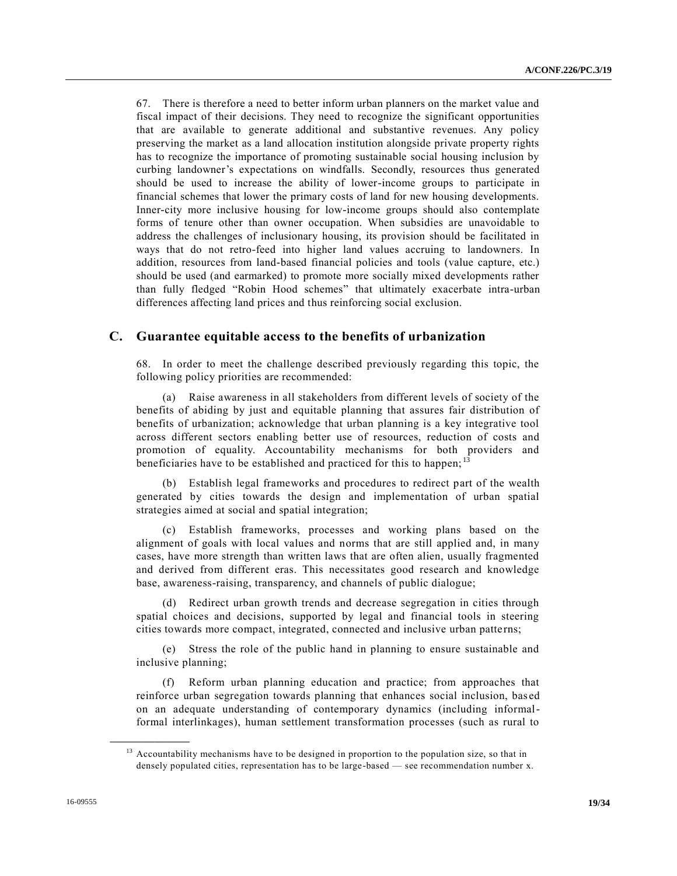67. There is therefore a need to better inform urban planners on the market value and fiscal impact of their decisions. They need to recognize the significant opportunities that are available to generate additional and substantive revenues. Any policy preserving the market as a land allocation institution alongside private property rights has to recognize the importance of promoting sustainable social housing inclusion by curbing landowner's expectations on windfalls. Secondly, resources thus generated should be used to increase the ability of lower-income groups to participate in financial schemes that lower the primary costs of land for new housing developments. Inner-city more inclusive housing for low-income groups should also contemplate forms of tenure other than owner occupation. When subsidies are unavoidable to address the challenges of inclusionary housing, its provision should be facilitated in ways that do not retro-feed into higher land values accruing to landowners. In addition, resources from land-based financial policies and tools (value capture, etc.) should be used (and earmarked) to promote more socially mixed developments rather than fully fledged "Robin Hood schemes" that ultimately exacerbate intra-urban differences affecting land prices and thus reinforcing social exclusion.

#### **C. Guarantee equitable access to the benefits of urbanization**

68. In order to meet the challenge described previously regarding this topic, the following policy priorities are recommended:

(a) Raise awareness in all stakeholders from different levels of society of the benefits of abiding by just and equitable planning that assures fair distribution of benefits of urbanization; acknowledge that urban planning is a key integrative tool across different sectors enabling better use of resources, reduction of costs and promotion of equality. Accountability mechanisms for both providers and beneficiaries have to be established and practiced for this to happen;<sup>1</sup>

(b) Establish legal frameworks and procedures to redirect part of the wealth generated by cities towards the design and implementation of urban spatial strategies aimed at social and spatial integration;

(c) Establish frameworks, processes and working plans based on the alignment of goals with local values and norms that are still applied and, in many cases, have more strength than written laws that are often alien, usually fragmented and derived from different eras. This necessitates good research and knowledge base, awareness-raising, transparency, and channels of public dialogue;

(d) Redirect urban growth trends and decrease segregation in cities through spatial choices and decisions, supported by legal and financial tools in steering cities towards more compact, integrated, connected and inclusive urban patte rns;

(e) Stress the role of the public hand in planning to ensure sustainable and inclusive planning;

(f) Reform urban planning education and practice; from approaches that reinforce urban segregation towards planning that enhances social inclusion, bas ed on an adequate understanding of contemporary dynamics (including informalformal interlinkages), human settlement transformation processes (such as rural to

<sup>&</sup>lt;sup>13</sup> Accountability mechanisms have to be designed in proportion to the population size, so that in densely populated cities, representation has to be large-based — see recommendation number x.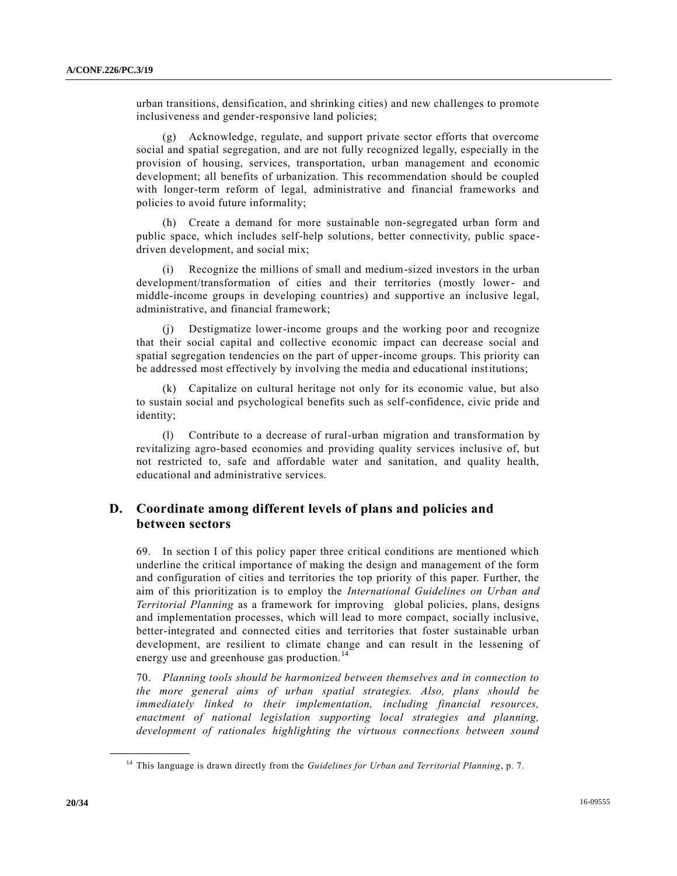urban transitions, densification, and shrinking cities) and new challenges to promote inclusiveness and gender-responsive land policies;

(g) Acknowledge, regulate, and support private sector efforts that overcome social and spatial segregation, and are not fully recognized legally, especially in the provision of housing, services, transportation, urban management and economic development; all benefits of urbanization. This recommendation should be coupled with longer-term reform of legal, administrative and financial frameworks and policies to avoid future informality;

(h) Create a demand for more sustainable non-segregated urban form and public space, which includes self-help solutions, better connectivity, public spacedriven development, and social mix;

(i) Recognize the millions of small and medium-sized investors in the urban development/transformation of cities and their territories (mostly lower- and middle-income groups in developing countries) and supportive an inclusive legal, administrative, and financial framework;

Destigmatize lower-income groups and the working poor and recognize that their social capital and collective economic impact can decrease social and spatial segregation tendencies on the part of upper-income groups. This priority can be addressed most effectively by involving the media and educational institutions;

(k) Capitalize on cultural heritage not only for its economic value, but also to sustain social and psychological benefits such as self-confidence, civic pride and identity;

(l) Contribute to a decrease of rural-urban migration and transformation by revitalizing agro-based economies and providing quality services inclusive of, but not restricted to, safe and affordable water and sanitation, and quality health, educational and administrative services.

# **D. Coordinate among different levels of plans and policies and between sectors**

69. In section I of this policy paper three critical conditions are mentioned which underline the critical importance of making the design and management of the form and configuration of cities and territories the top priority of this paper. Further, the aim of this prioritization is to employ the *International Guidelines on Urban and Territorial Planning* as a framework for improving global policies, plans, designs and implementation processes, which will lead to more compact, socially inclusive, better-integrated and connected cities and territories that foster sustainable urban development, are resilient to climate change and can result in the lessening of energy use and greenhouse gas production.<sup>14</sup>

70. *Planning tools should be harmonized between themselves and in connection to the more general aims of urban spatial strategies. Also, plans should be immediately linked to their implementation, including financial resources, enactment of national legislation supporting local strategies and planning, development of rationales highlighting the virtuous connections between sound* 

<sup>14</sup> This language is drawn directly from the *Guidelines for Urban and Territorial Planning*, p. 7.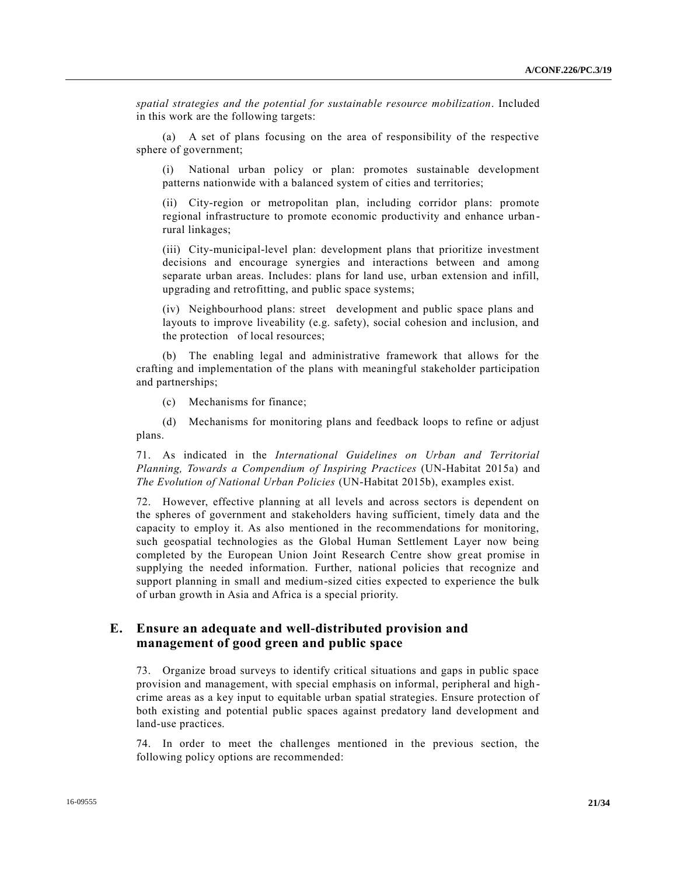*spatial strategies and the potential for sustainable resource mobilization*. Included in this work are the following targets:

(a) A set of plans focusing on the area of responsibility of the respective sphere of government;

(i) National urban policy or plan: promotes sustainable development patterns nationwide with a balanced system of cities and territories;

(ii) City-region or metropolitan plan, including corridor plans: promote regional infrastructure to promote economic productivity and enhance urban rural linkages;

(iii) City-municipal-level plan: development plans that prioritize investment decisions and encourage synergies and interactions between and among separate urban areas. Includes: plans for land use, urban extension and infill, upgrading and retrofitting, and public space systems;

(iv) Neighbourhood plans: street development and public space plans and layouts to improve liveability (e.g. safety), social cohesion and inclusion, and the protection of local resources;

(b) The enabling legal and administrative framework that allows for the crafting and implementation of the plans with meaningful stakeholder participation and partnerships;

(c) Mechanisms for finance;

(d) Mechanisms for monitoring plans and feedback loops to refine or adjust plans.

71. As indicated in the *International Guidelines on Urban and Territorial Planning, Towards a Compendium of Inspiring Practices* (UN-Habitat 2015a) and *The Evolution of National Urban Policies* (UN-Habitat 2015b), examples exist.

72. However, effective planning at all levels and across sectors is dependent on the spheres of government and stakeholders having sufficient, timely data and the capacity to employ it. As also mentioned in the recommendations for monitoring, such geospatial technologies as the Global Human Settlement Layer now being completed by the European Union Joint Research Centre show great promise in supplying the needed information. Further, national policies that recognize and support planning in small and medium-sized cities expected to experience the bulk of urban growth in Asia and Africa is a special priority.

# **E. Ensure an adequate and well-distributed provision and management of good green and public space**

73. Organize broad surveys to identify critical situations and gaps in public space provision and management, with special emphasis on informal, peripheral and high crime areas as a key input to equitable urban spatial strategies. Ensure protection of both existing and potential public spaces against predatory land development and land-use practices.

74. In order to meet the challenges mentioned in the previous section, the following policy options are recommended: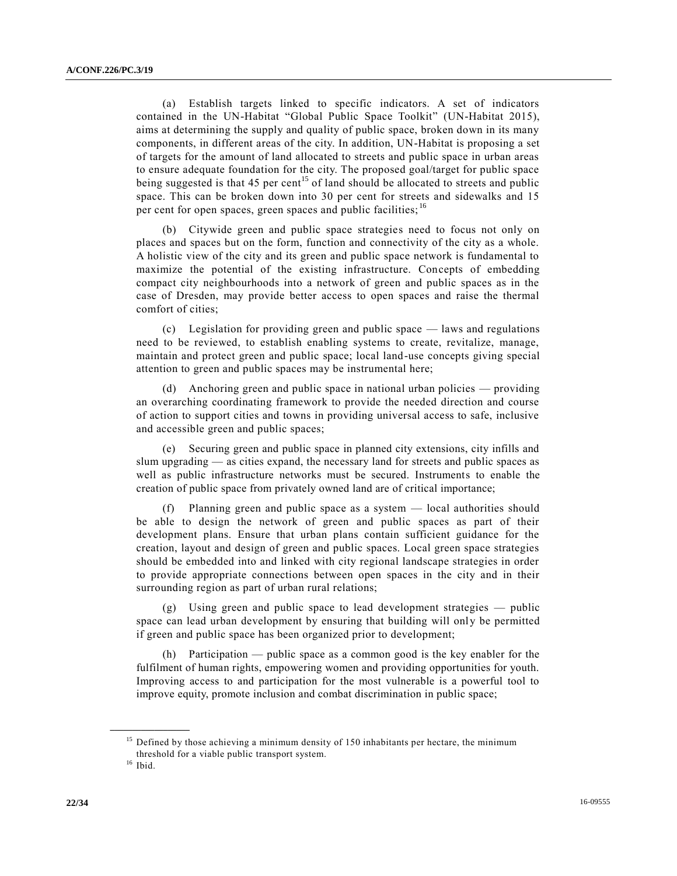(a) Establish targets linked to specific indicators. A set of indicators contained in the UN-Habitat "Global Public Space Toolkit" (UN-Habitat 2015), aims at determining the supply and quality of public space, broken down in its many components, in different areas of the city. In addition, UN-Habitat is proposing a set of targets for the amount of land allocated to streets and public space in urban areas to ensure adequate foundation for the city. The proposed goal/target for public space being suggested is that 45 per cent<sup>15</sup> of land should be allocated to streets and public space. This can be broken down into 30 per cent for streets and sidewalks and 15 per cent for open spaces, green spaces and public facilities; <sup>16</sup>

(b) Citywide green and public space strategies need to focus not only on places and spaces but on the form, function and connectivity of the city as a whole. A holistic view of the city and its green and public space network is fundamental to maximize the potential of the existing infrastructure. Concepts of embedding compact city neighbourhoods into a network of green and public spaces as in the case of Dresden, may provide better access to open spaces and raise the thermal comfort of cities;

(c) Legislation for providing green and public space — laws and regulations need to be reviewed, to establish enabling systems to create, revitalize, manage, maintain and protect green and public space; local land-use concepts giving special attention to green and public spaces may be instrumental here;

(d) Anchoring green and public space in national urban policies — providing an overarching coordinating framework to provide the needed direction and course of action to support cities and towns in providing universal access to safe, inclusive and accessible green and public spaces;

(e) Securing green and public space in planned city extensions, city infills and slum upgrading — as cities expand, the necessary land for streets and public spaces as well as public infrastructure networks must be secured. Instruments to enable the creation of public space from privately owned land are of critical importance;

(f) Planning green and public space as a system — local authorities should be able to design the network of green and public spaces as part of their development plans. Ensure that urban plans contain sufficient guidance for the creation, layout and design of green and public spaces. Local green space strategies should be embedded into and linked with city regional landscape strategies in order to provide appropriate connections between open spaces in the city and in their surrounding region as part of urban rural relations;

(g) Using green and public space to lead development strategies — public space can lead urban development by ensuring that building will only be permitted if green and public space has been organized prior to development;

(h) Participation — public space as a common good is the key enabler for the fulfilment of human rights, empowering women and providing opportunities for youth. Improving access to and participation for the most vulnerable is a powerful tool to improve equity, promote inclusion and combat discrimination in public space;

<sup>&</sup>lt;sup>15</sup> Defined by those achieving a minimum density of 150 inhabitants per hectare, the minimum threshold for a viable public transport system.

 $16$  Ibid.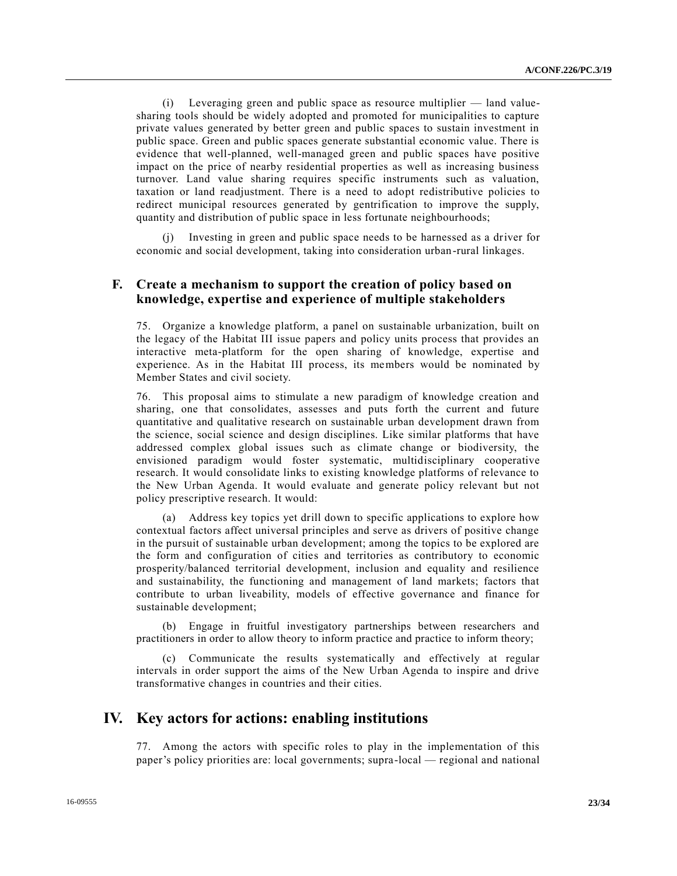(i) Leveraging green and public space as resource multiplier — land valuesharing tools should be widely adopted and promoted for municipalities to capture private values generated by better green and public spaces to sustain investment in public space. Green and public spaces generate substantial economic value. There is evidence that well-planned, well-managed green and public spaces have positive impact on the price of nearby residential properties as well as increasing business turnover. Land value sharing requires specific instruments such as valuation, taxation or land readjustment. There is a need to adopt redistributive policies to redirect municipal resources generated by gentrification to improve the supply, quantity and distribution of public space in less fortunate neighbourhoods;

(j) Investing in green and public space needs to be harnessed as a driver for economic and social development, taking into consideration urban-rural linkages.

### **F. Create a mechanism to support the creation of policy based on knowledge, expertise and experience of multiple stakeholders**

75. Organize a knowledge platform, a panel on sustainable urbanization, built on the legacy of the Habitat III issue papers and policy units process that provides an interactive meta-platform for the open sharing of knowledge, expertise and experience. As in the Habitat III process, its members would be nominated by Member States and civil society.

76. This proposal aims to stimulate a new paradigm of knowledge creation and sharing, one that consolidates, assesses and puts forth the current and future quantitative and qualitative research on sustainable urban development drawn from the science, social science and design disciplines. Like similar platforms that have addressed complex global issues such as climate change or biodiversity, the envisioned paradigm would foster systematic, multidisciplinary cooperative research. It would consolidate links to existing knowledge platforms of relevance to the New Urban Agenda. It would evaluate and generate policy relevant but not policy prescriptive research. It would:

(a) Address key topics yet drill down to specific applications to explore how contextual factors affect universal principles and serve as drivers of positive change in the pursuit of sustainable urban development; among the topics to be explored are the form and configuration of cities and territories as contributory to economic prosperity/balanced territorial development, inclusion and equality and resilience and sustainability, the functioning and management of land markets; factors that contribute to urban liveability, models of effective governance and finance for sustainable development;

(b) Engage in fruitful investigatory partnerships between researchers and practitioners in order to allow theory to inform practice and practice to inform theory;

(c) Communicate the results systematically and effectively at regular intervals in order support the aims of the New Urban Agenda to inspire and drive transformative changes in countries and their cities.

# **IV. Key actors for actions: enabling institutions**

77. Among the actors with specific roles to play in the implementation of this paper's policy priorities are: local governments; supra-local — regional and national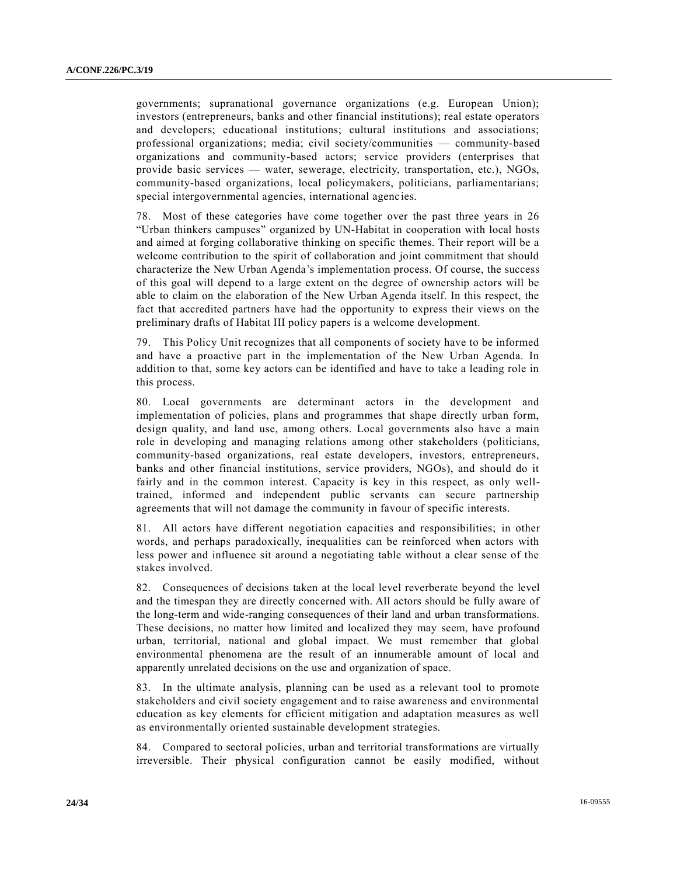governments; supranational governance organizations (e.g. European Union); investors (entrepreneurs, banks and other financial institutions); real estate operators and developers; educational institutions; cultural institutions and associations; professional organizations; media; civil society/communities — community-based organizations and community-based actors; service providers (enterprises that provide basic services — water, sewerage, electricity, transportation, etc.), NGOs, community-based organizations, local policymakers, politicians, parliamentarians; special intergovernmental agencies, international agencies.

78. Most of these categories have come together over the past three years in 26 "Urban thinkers campuses" organized by UN-Habitat in cooperation with local hosts and aimed at forging collaborative thinking on specific themes. Their report will be a welcome contribution to the spirit of collaboration and joint commitment that should characterize the New Urban Agenda's implementation process. Of course, the success of this goal will depend to a large extent on the degree of ownership actors will be able to claim on the elaboration of the New Urban Agenda itself. In this respect, the fact that accredited partners have had the opportunity to express their views on the preliminary drafts of Habitat III policy papers is a welcome development.

79. This Policy Unit recognizes that all components of society have to be informed and have a proactive part in the implementation of the New Urban Agenda. In addition to that, some key actors can be identified and have to take a leading role in this process.

80. Local governments are determinant actors in the development and implementation of policies, plans and programmes that shape directly urban form, design quality, and land use, among others. Local governments also have a main role in developing and managing relations among other stakeholders (politicians, community-based organizations, real estate developers, investors, entrepreneurs, banks and other financial institutions, service providers, NGOs), and should do it fairly and in the common interest. Capacity is key in this respect, as only welltrained, informed and independent public servants can secure partnership agreements that will not damage the community in favour of specific interests.

81. All actors have different negotiation capacities and responsibilities; in other words, and perhaps paradoxically, inequalities can be reinforced when actors with less power and influence sit around a negotiating table without a clear sense of the stakes involved.

82. Consequences of decisions taken at the local level reverberate beyond the level and the timespan they are directly concerned with. All actors should be fully aware of the long-term and wide-ranging consequences of their land and urban transformations. These decisions, no matter how limited and localized they may seem, have profound urban, territorial, national and global impact. We must remember that global environmental phenomena are the result of an innumerable amount of local and apparently unrelated decisions on the use and organization of space.

83. In the ultimate analysis, planning can be used as a relevant tool to promote stakeholders and civil society engagement and to raise awareness and environmental education as key elements for efficient mitigation and adaptation measures as well as environmentally oriented sustainable development strategies.

84. Compared to sectoral policies, urban and territorial transformations are virtually irreversible. Their physical configuration cannot be easily modified, without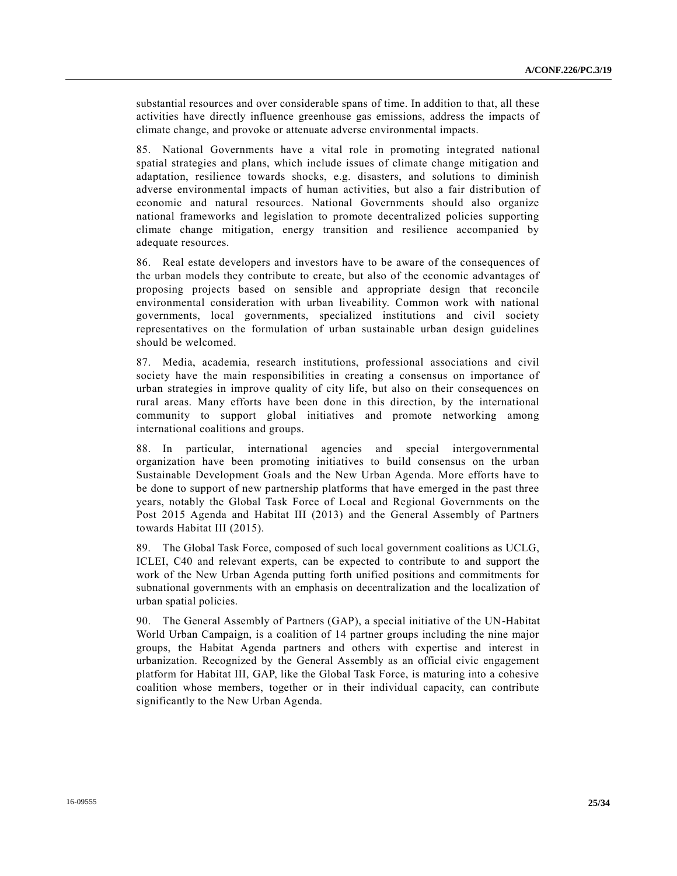substantial resources and over considerable spans of time. In addition to that, all these activities have directly influence greenhouse gas emissions, address the impacts of climate change, and provoke or attenuate adverse environmental impacts.

85. National Governments have a vital role in promoting integrated national spatial strategies and plans, which include issues of climate change mitigation and adaptation, resilience towards shocks, e.g. disasters, and solutions to diminish adverse environmental impacts of human activities, but also a fair distribution of economic and natural resources. National Governments should also organize national frameworks and legislation to promote decentralized policies supporting climate change mitigation, energy transition and resilience accompanied by adequate resources.

86. Real estate developers and investors have to be aware of the consequences of the urban models they contribute to create, but also of the economic advantages of proposing projects based on sensible and appropriate design that reconcile environmental consideration with urban liveability. Common work with national governments, local governments, specialized institutions and civil society representatives on the formulation of urban sustainable urban design guidelines should be welcomed.

87. Media, academia, research institutions, professional associations and civil society have the main responsibilities in creating a consensus on importance of urban strategies in improve quality of city life, but also on their consequences on rural areas. Many efforts have been done in this direction, by the international community to support global initiatives and promote networking among international coalitions and groups.

88. In particular, international agencies and special intergovernmental organization have been promoting initiatives to build consensus on the urban Sustainable Development Goals and the New Urban Agenda. More efforts have to be done to support of new partnership platforms that have emerged in the past three years, notably the Global Task Force of Local and Regional Governments on the Post 2015 Agenda and Habitat III (2013) and the General Assembly of Partners towards Habitat III (2015).

89. The Global Task Force, composed of such local government coalitions as UCLG, ICLEI, C40 and relevant experts, can be expected to contribute to and support the work of the New Urban Agenda putting forth unified positions and commitments for subnational governments with an emphasis on decentralization and the localization of urban spatial policies.

90. The General Assembly of Partners (GAP), a special initiative of the UN-Habitat World Urban Campaign, is a coalition of 14 partner groups including the nine major groups, the Habitat Agenda partners and others with expertise and interest in urbanization. Recognized by the General Assembly as an official civic engagement platform for Habitat III, GAP, like the Global Task Force, is maturing into a cohesive coalition whose members, together or in their individual capacity, can contribute significantly to the New Urban Agenda.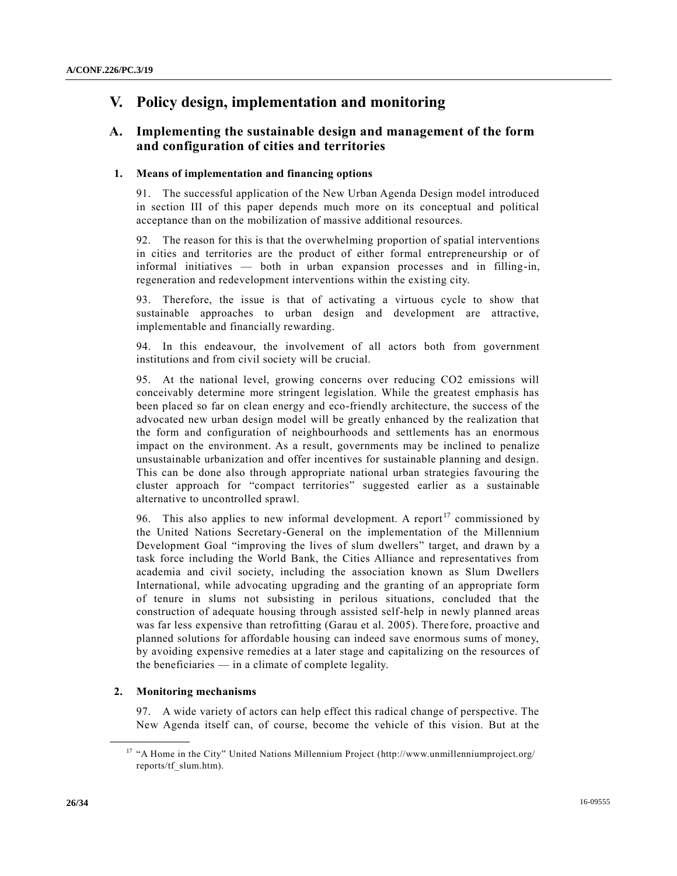# **V. Policy design, implementation and monitoring**

# **A. Implementing the sustainable design and management of the form and configuration of cities and territories**

#### **1. Means of implementation and financing options**

91. The successful application of the New Urban Agenda Design model introduced in section III of this paper depends much more on its conceptual and political acceptance than on the mobilization of massive additional resources.

92. The reason for this is that the overwhelming proportion of spatial interventions in cities and territories are the product of either formal entrepreneurship or of informal initiatives — both in urban expansion processes and in filling-in, regeneration and redevelopment interventions within the existing city.

93. Therefore, the issue is that of activating a virtuous cycle to show that sustainable approaches to urban design and development are attractive, implementable and financially rewarding.

94. In this endeavour, the involvement of all actors both from government institutions and from civil society will be crucial.

95. At the national level, growing concerns over reducing CO2 emissions will conceivably determine more stringent legislation. While the greatest emphasis has been placed so far on clean energy and eco-friendly architecture, the success of the advocated new urban design model will be greatly enhanced by the realization that the form and configuration of neighbourhoods and settlements has an enormous impact on the environment. As a result, governments may be inclined to penalize unsustainable urbanization and offer incentives for sustainable planning and design. This can be done also through appropriate national urban strategies favouring the cluster approach for "compact territories" suggested earlier as a sustainable alternative to uncontrolled sprawl.

96. This also applies to new informal development. A report<sup>17</sup> commissioned by the United Nations Secretary-General on the implementation of the Millennium Development Goal "improving the lives of slum dwellers" target, and drawn by a task force including the World Bank, the Cities Alliance and representatives from academia and civil society, including the association known as Slum Dwellers International, while advocating upgrading and the granting of an appropriate form of tenure in slums not subsisting in perilous situations, concluded that the construction of adequate housing through assisted self-help in newly planned areas was far less expensive than retrofitting (Garau et al. 2005). There fore, proactive and planned solutions for affordable housing can indeed save enormous sums of money, by avoiding expensive remedies at a later stage and capitalizing on the resources of the beneficiaries — in a climate of complete legality.

#### **2. Monitoring mechanisms**

**\_\_\_\_\_\_\_\_\_\_\_\_\_\_\_\_\_\_**

97. A wide variety of actors can help effect this radical change of perspective. The New Agenda itself can, of course, become the vehicle of this vision. But at the

<sup>&</sup>lt;sup>17</sup> "A Home in the City" United Nations Millennium Project (http://www.unmillenniumproject.org/ reports/tf\_slum.htm).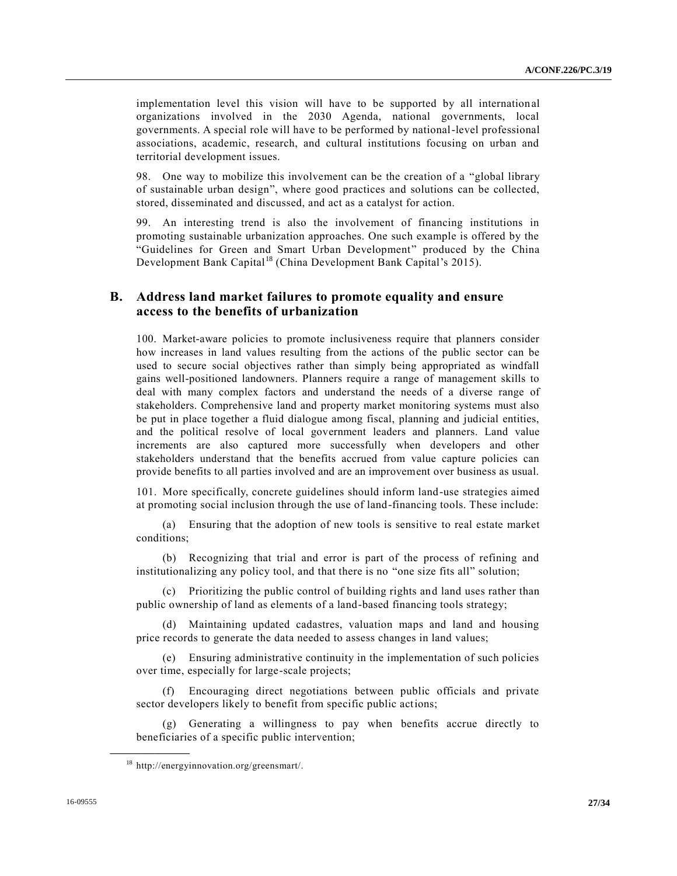implementation level this vision will have to be supported by all international organizations involved in the 2030 Agenda, national governments, local governments. A special role will have to be performed by national-level professional associations, academic, research, and cultural institutions focusing on urban and territorial development issues.

98. One way to mobilize this involvement can be the creation of a "global library of sustainable urban design", where good practices and solutions can be collected, stored, disseminated and discussed, and act as a catalyst for action.

99. An interesting trend is also the involvement of financing institutions in promoting sustainable urbanization approaches. One such example is offered by the "Guidelines for Green and Smart Urban Development" produced by the China Development Bank Capital<sup>18</sup> (China Development Bank Capital's 2015).

### **B. Address land market failures to promote equality and ensure access to the benefits of urbanization**

100. Market-aware policies to promote inclusiveness require that planners consider how increases in land values resulting from the actions of the public sector can be used to secure social objectives rather than simply being appropriated as windfall gains well-positioned landowners. Planners require a range of management skills to deal with many complex factors and understand the needs of a diverse range of stakeholders. Comprehensive land and property market monitoring systems must also be put in place together a fluid dialogue among fiscal, planning and judicial entities, and the political resolve of local government leaders and planners. Land value increments are also captured more successfully when developers and other stakeholders understand that the benefits accrued from value capture policies can provide benefits to all parties involved and are an improvement over business as usual.

101. More specifically, concrete guidelines should inform land-use strategies aimed at promoting social inclusion through the use of land-financing tools. These include:

(a) Ensuring that the adoption of new tools is sensitive to real estate market conditions;

(b) Recognizing that trial and error is part of the process of refining and institutionalizing any policy tool, and that there is no "one size fits all" solution;

(c) Prioritizing the public control of building rights and land uses rather than public ownership of land as elements of a land-based financing tools strategy;

(d) Maintaining updated cadastres, valuation maps and land and housing price records to generate the data needed to assess changes in land values;

(e) Ensuring administrative continuity in the implementation of such policies over time, especially for large-scale projects;

(f) Encouraging direct negotiations between public officials and private sector developers likely to benefit from specific public actions;

(g) Generating a willingness to pay when benefits accrue directly to beneficiaries of a specific public intervention;

<sup>18</sup> http://energyinnovation.org/greensmart/.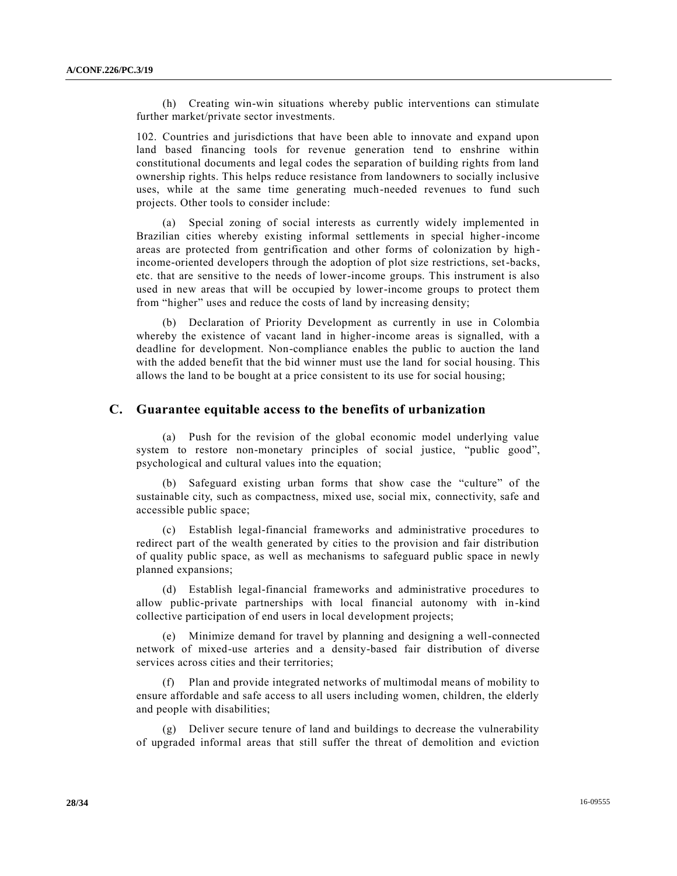(h) Creating win-win situations whereby public interventions can stimulate further market/private sector investments.

102. Countries and jurisdictions that have been able to innovate and expand upon land based financing tools for revenue generation tend to enshrine within constitutional documents and legal codes the separation of building rights from land ownership rights. This helps reduce resistance from landowners to socially inclusive uses, while at the same time generating much-needed revenues to fund such projects. Other tools to consider include:

(a) Special zoning of social interests as currently widely implemented in Brazilian cities whereby existing informal settlements in special higher-income areas are protected from gentrification and other forms of colonization by high income-oriented developers through the adoption of plot size restrictions, set-backs, etc. that are sensitive to the needs of lower-income groups. This instrument is also used in new areas that will be occupied by lower-income groups to protect them from "higher" uses and reduce the costs of land by increasing density;

(b) Declaration of Priority Development as currently in use in Colombia whereby the existence of vacant land in higher-income areas is signalled, with a deadline for development. Non-compliance enables the public to auction the land with the added benefit that the bid winner must use the land for social housing. This allows the land to be bought at a price consistent to its use for social housing;

#### **C. Guarantee equitable access to the benefits of urbanization**

(a) Push for the revision of the global economic model underlying value system to restore non-monetary principles of social justice, "public good", psychological and cultural values into the equation;

(b) Safeguard existing urban forms that show case the "culture" of the sustainable city, such as compactness, mixed use, social mix, connectivity, safe and accessible public space;

(c) Establish legal-financial frameworks and administrative procedures to redirect part of the wealth generated by cities to the provision and fair distribution of quality public space, as well as mechanisms to safeguard public space in newly planned expansions;

(d) Establish legal-financial frameworks and administrative procedures to allow public-private partnerships with local financial autonomy with in-kind collective participation of end users in local development projects;

(e) Minimize demand for travel by planning and designing a well-connected network of mixed-use arteries and a density-based fair distribution of diverse services across cities and their territories;

(f) Plan and provide integrated networks of multimodal means of mobility to ensure affordable and safe access to all users including women, children, the elderly and people with disabilities;

(g) Deliver secure tenure of land and buildings to decrease the vulnerability of upgraded informal areas that still suffer the threat of demolition and eviction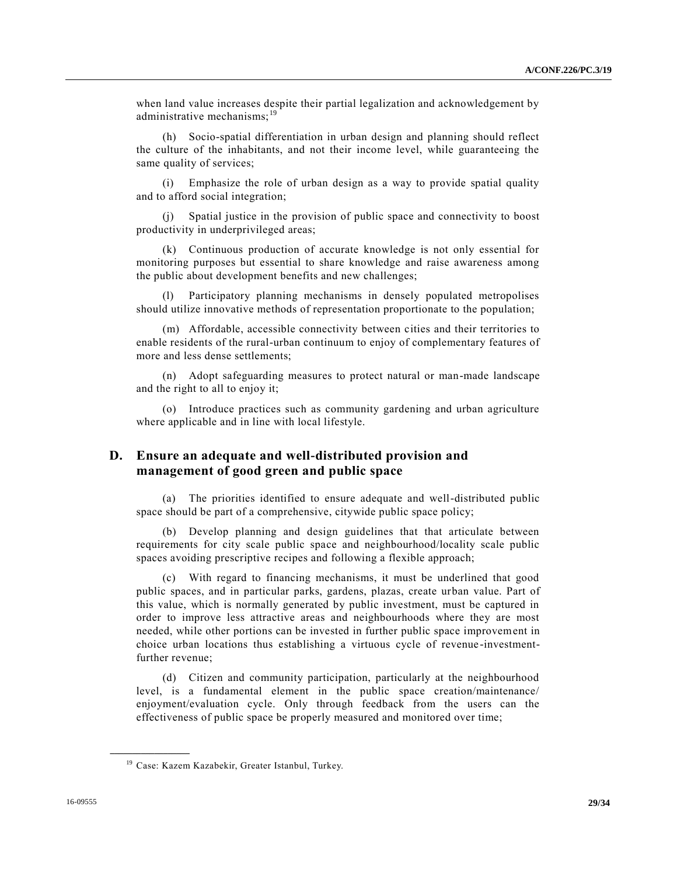when land value increases despite their partial legalization and acknowledgement by administrative mechanisms:<sup>19</sup>

(h) Socio-spatial differentiation in urban design and planning should reflect the culture of the inhabitants, and not their income level, while guaranteeing the same quality of services;

(i) Emphasize the role of urban design as a way to provide spatial quality and to afford social integration;

(j) Spatial justice in the provision of public space and connectivity to boost productivity in underprivileged areas;

(k) Continuous production of accurate knowledge is not only essential for monitoring purposes but essential to share knowledge and raise awareness among the public about development benefits and new challenges;

(l) Participatory planning mechanisms in densely populated metropolises should utilize innovative methods of representation proportionate to the population;

(m) Affordable, accessible connectivity between cities and their territories to enable residents of the rural-urban continuum to enjoy of complementary features of more and less dense settlements;

(n) Adopt safeguarding measures to protect natural or man-made landscape and the right to all to enjoy it;

(o) Introduce practices such as community gardening and urban agriculture where applicable and in line with local lifestyle.

### **D. Ensure an adequate and well-distributed provision and management of good green and public space**

(a) The priorities identified to ensure adequate and well-distributed public space should be part of a comprehensive, citywide public space policy;

(b) Develop planning and design guidelines that that articulate between requirements for city scale public space and neighbourhood/locality scale public spaces avoiding prescriptive recipes and following a flexible approach;

(c) With regard to financing mechanisms, it must be underlined that good public spaces, and in particular parks, gardens, plazas, create urban value. Part of this value, which is normally generated by public investment, must be captured in order to improve less attractive areas and neighbourhoods where they are most needed, while other portions can be invested in further public space improvement in choice urban locations thus establishing a virtuous cycle of revenue -investmentfurther revenue;

(d) Citizen and community participation, particularly at the neighbourhood level, is a fundamental element in the public space creation/maintenance/ enjoyment/evaluation cycle. Only through feedback from the users can the effectiveness of public space be properly measured and monitored over time;

<sup>&</sup>lt;sup>19</sup> Case: Kazem Kazabekir, Greater Istanbul, Turkey.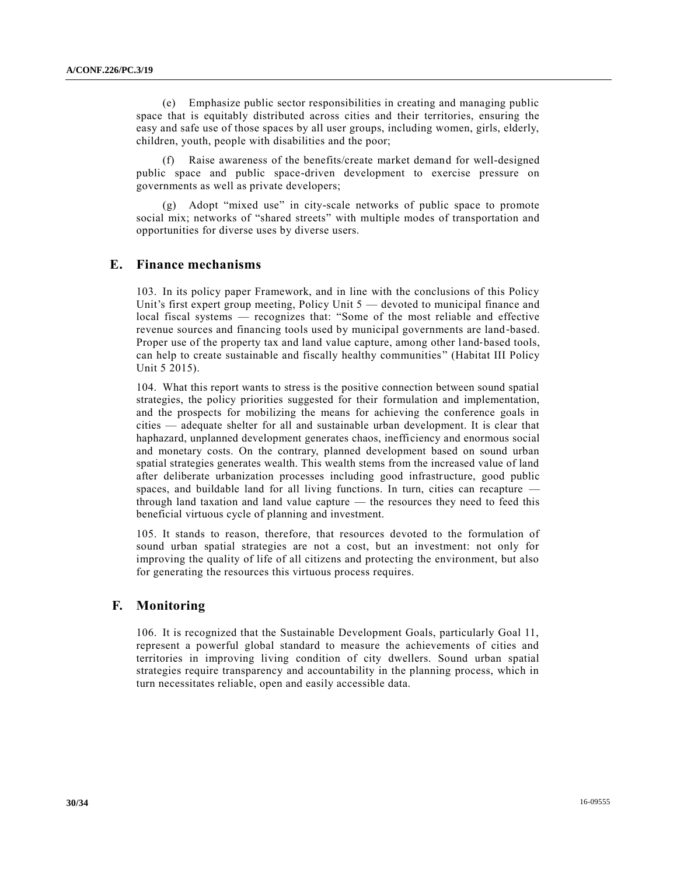(e) Emphasize public sector responsibilities in creating and managing public space that is equitably distributed across cities and their territories, ensuring the easy and safe use of those spaces by all user groups, including women, girls, elderly, children, youth, people with disabilities and the poor;

(f) Raise awareness of the benefits/create market demand for well-designed public space and public space-driven development to exercise pressure on governments as well as private developers;

(g) Adopt "mixed use" in city-scale networks of public space to promote social mix; networks of "shared streets" with multiple modes of transportation and opportunities for diverse uses by diverse users.

# **E. Finance mechanisms**

103. In its policy paper Framework, and in line with the conclusions of this Policy Unit's first expert group meeting, Policy Unit 5 — devoted to municipal finance and local fiscal systems — recognizes that: "Some of the most reliable and effective revenue sources and financing tools used by municipal governments are land‐based. Proper use of the property tax and land value capture, among other land-based tools, can help to create sustainable and fiscally healthy communities" (Habitat III Policy Unit 5 2015).

104. What this report wants to stress is the positive connection between sound spatial strategies, the policy priorities suggested for their formulation and implementation, and the prospects for mobilizing the means for achieving the conference goals in cities — adequate shelter for all and sustainable urban development. It is clear that haphazard, unplanned development generates chaos, inefficiency and enormous social and monetary costs. On the contrary, planned development based on sound urban spatial strategies generates wealth. This wealth stems from the increased value of land after deliberate urbanization processes including good infrastructure, good public spaces, and buildable land for all living functions. In turn, cities can recapture through land taxation and land value capture — the resources they need to feed this beneficial virtuous cycle of planning and investment.

105. It stands to reason, therefore, that resources devoted to the formulation of sound urban spatial strategies are not a cost, but an investment: not only for improving the quality of life of all citizens and protecting the environment, but also for generating the resources this virtuous process requires.

# **F. Monitoring**

106. It is recognized that the Sustainable Development Goals, particularly Goal 11, represent a powerful global standard to measure the achievements of cities and territories in improving living condition of city dwellers. Sound urban spatial strategies require transparency and accountability in the planning process, which in turn necessitates reliable, open and easily accessible data.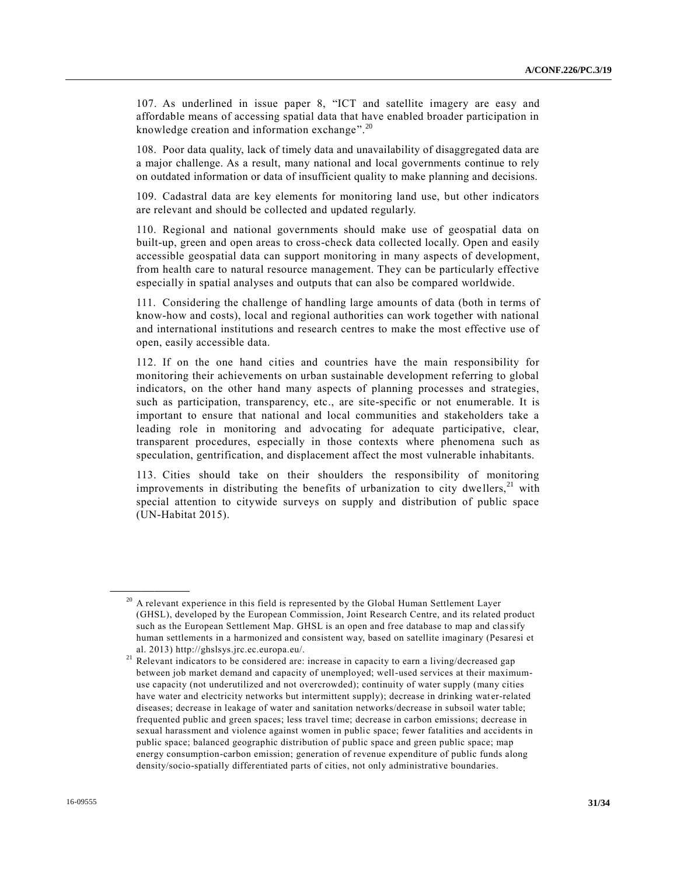107. As underlined in issue paper 8, "ICT and satellite imagery are easy and affordable means of accessing spatial data that have enabled broader participation in knowledge creation and information exchange".<sup>20</sup>

108. Poor data quality, lack of timely data and unavailability of disaggregated data are a major challenge. As a result, many national and local governments continue to rely on outdated information or data of insufficient quality to make planning and decisions.

109. Cadastral data are key elements for monitoring land use, but other indicators are relevant and should be collected and updated regularly.

110. Regional and national governments should make use of geospatial data on built-up, green and open areas to cross-check data collected locally. Open and easily accessible geospatial data can support monitoring in many aspects of development, from health care to natural resource management. They can be particularly effective especially in spatial analyses and outputs that can also be compared worldwide.

111. Considering the challenge of handling large amounts of data (both in terms of know-how and costs), local and regional authorities can work together with national and international institutions and research centres to make the most effective use of open, easily accessible data.

112. If on the one hand cities and countries have the main responsibility for monitoring their achievements on urban sustainable development referring to global indicators, on the other hand many aspects of planning processes and strategies, such as participation, transparency, etc., are site-specific or not enumerable. It is important to ensure that national and local communities and stakeholders take a leading role in monitoring and advocating for adequate participative, clear, transparent procedures, especially in those contexts where phenomena such as speculation, gentrification, and displacement affect the most vulnerable inhabitants.

113. Cities should take on their shoulders the responsibility of monitoring improvements in distributing the benefits of urbanization to city dwellers,  $21$  with special attention to citywide surveys on supply and distribution of public space (UN-Habitat 2015).

 $20$  A relevant experience in this field is represented by the Global Human Settlement Layer (GHSL), developed by the European Commission, Joint Research Centre, and its related product such as the European Settlement Map. GHSL is an open and free database to map and classify human settlements in a harmonized and consistent way, based on satellite imaginary (Pesaresi et al. 2013) http://ghslsys.jrc.ec.europa.eu/.

<sup>21</sup> Relevant indicators to be considered are: increase in capacity to earn a living/decreased gap between job market demand and capacity of unemployed; well-used services at their maximumuse capacity (not underutilized and not overcrowded); continuity of water supply (many cities have water and electricity networks but intermittent supply); decrease in drinking water-related diseases; decrease in leakage of water and sanitation networks/decrease in subsoil water table; frequented public and green spaces; less travel time; decrease in carbon emissions; decrease in sexual harassment and violence against women in public space; fewer fatalities and accidents in public space; balanced geographic distribution of public space and green public space; map energy consumption-carbon emission; generation of revenue expenditure of public funds along density/socio-spatially differentiated parts of cities, not only administrative boundaries.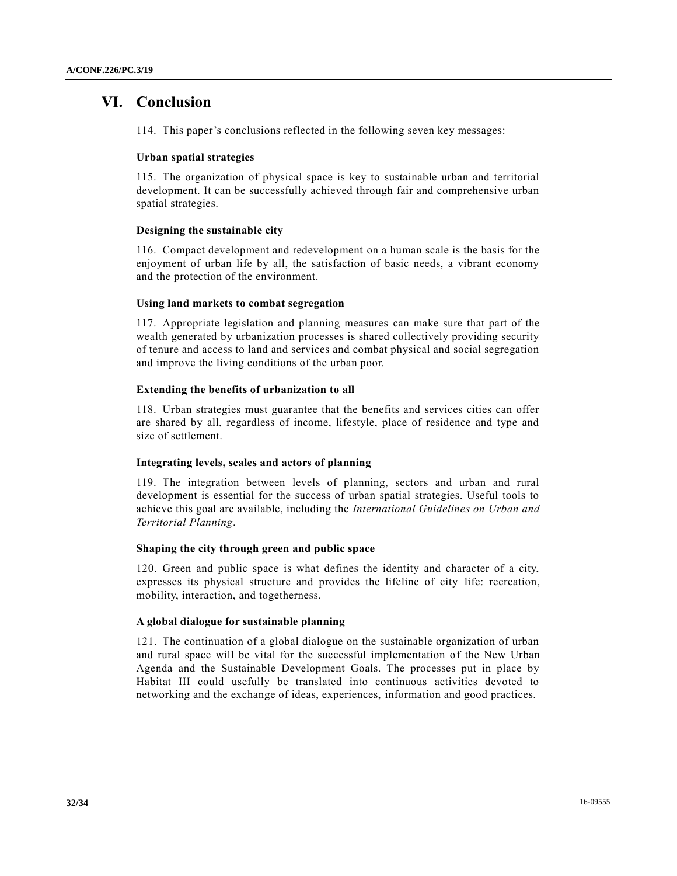# **VI. Conclusion**

114. This paper's conclusions reflected in the following seven key messages:

#### **Urban spatial strategies**

115. The organization of physical space is key to sustainable urban and territorial development. It can be successfully achieved through fair and comprehensive urban spatial strategies.

#### **Designing the sustainable city**

116. Compact development and redevelopment on a human scale is the basis for the enjoyment of urban life by all, the satisfaction of basic needs, a vibrant economy and the protection of the environment.

#### **Using land markets to combat segregation**

117. Appropriate legislation and planning measures can make sure that part of the wealth generated by urbanization processes is shared collectively providing security of tenure and access to land and services and combat physical and social segregation and improve the living conditions of the urban poor.

#### **Extending the benefits of urbanization to all**

118. Urban strategies must guarantee that the benefits and services cities can offer are shared by all, regardless of income, lifestyle, place of residence and type and size of settlement.

#### **Integrating levels, scales and actors of planning**

119. The integration between levels of planning, sectors and urban and rural development is essential for the success of urban spatial strategies. Useful tools to achieve this goal are available, including the *International Guidelines on Urban and Territorial Planning*.

#### **Shaping the city through green and public space**

120. Green and public space is what defines the identity and character of a city, expresses its physical structure and provides the lifeline of city life: recreation, mobility, interaction, and togetherness.

#### **A global dialogue for sustainable planning**

121. The continuation of a global dialogue on the sustainable organization of urban and rural space will be vital for the successful implementation of the New Urban Agenda and the Sustainable Development Goals. The processes put in place by Habitat III could usefully be translated into continuous activities devoted to networking and the exchange of ideas, experiences, information and good practices.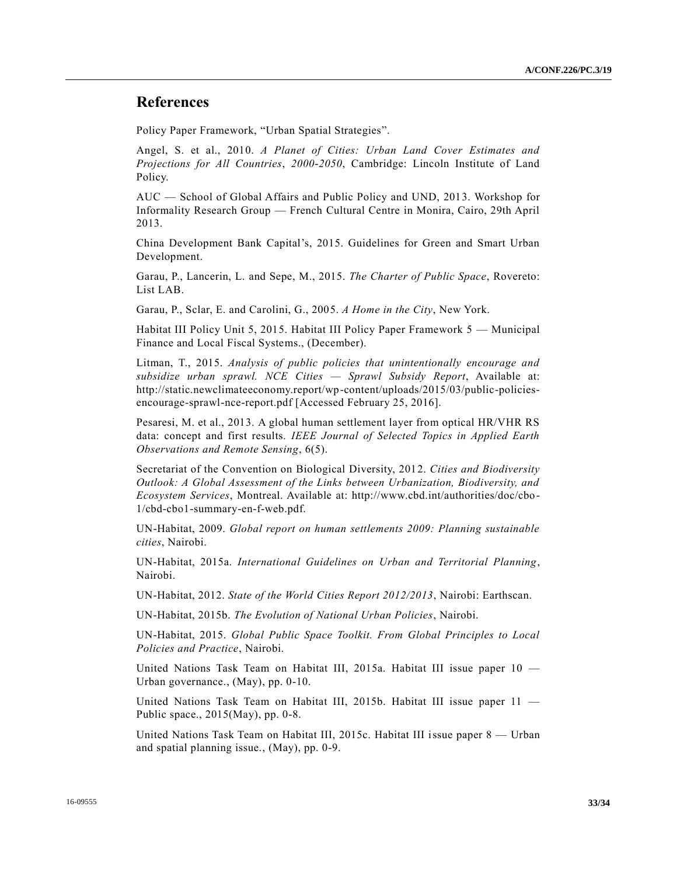# **References**

Policy Paper Framework, "Urban Spatial Strategies".

Angel, S. et al., 2010. *A Planet of Cities: Urban Land Cover Estimates and Projections for All Countries*, *2000-2050*, Cambridge: Lincoln Institute of Land Policy.

AUC — School of Global Affairs and Public Policy and UND, 2013. Workshop for Informality Research Group — French Cultural Centre in Monira, Cairo, 29th April 2013.

China Development Bank Capital's, 2015. Guidelines for Green and Smart Urban Development.

Garau, P., Lancerin, L. and Sepe, M., 2015. *The Charter of Public Space*, Rovereto: List LAB.

Garau, P., Sclar, E. and Carolini, G., 2005. *A Home in the City*, New York.

Habitat III Policy Unit 5, 2015. Habitat III Policy Paper Framework 5 — Municipal Finance and Local Fiscal Systems., (December).

Litman, T., 2015. *Analysis of public policies that unintentionally encourage and subsidize urban sprawl. NCE Cities — Sprawl Subsidy Report*, Available at: http://static.newclimateeconomy.report/wp-content/uploads/2015/03/public-policiesencourage-sprawl-nce-report.pdf [Accessed February 25, 2016].

Pesaresi, M. et al., 2013. A global human settlement layer from optical HR/VHR RS data: concept and first results. *IEEE Journal of Selected Topics in Applied Earth Observations and Remote Sensing*, 6(5).

Secretariat of the Convention on Biological Diversity, 2012. *Cities and Biodiversity Outlook: A Global Assessment of the Links between Urbanization, Biodiversity, and Ecosystem Services*, Montreal. Available at: http://www.cbd.int/authorities/doc/cbo-1/cbd-cbo1-summary-en-f-web.pdf.

UN-Habitat, 2009. *Global report on human settlements 2009: Planning sustainable cities*, Nairobi.

UN-Habitat, 2015a. *International Guidelines on Urban and Territorial Planning*, Nairobi.

UN-Habitat, 2012. *State of the World Cities Report 2012/2013*, Nairobi: Earthscan.

UN-Habitat, 2015b. *The Evolution of National Urban Policies*, Nairobi.

UN-Habitat, 2015. *Global Public Space Toolkit. From Global Principles to Local Policies and Practice*, Nairobi.

United Nations Task Team on Habitat III, 2015a. Habitat III issue paper 10 — Urban governance., (May), pp. 0-10.

United Nations Task Team on Habitat III, 2015b. Habitat III issue paper 11 — Public space., 2015(May), pp. 0-8.

United Nations Task Team on Habitat III, 2015c. Habitat III issue paper 8 — Urban and spatial planning issue., (May), pp. 0-9.